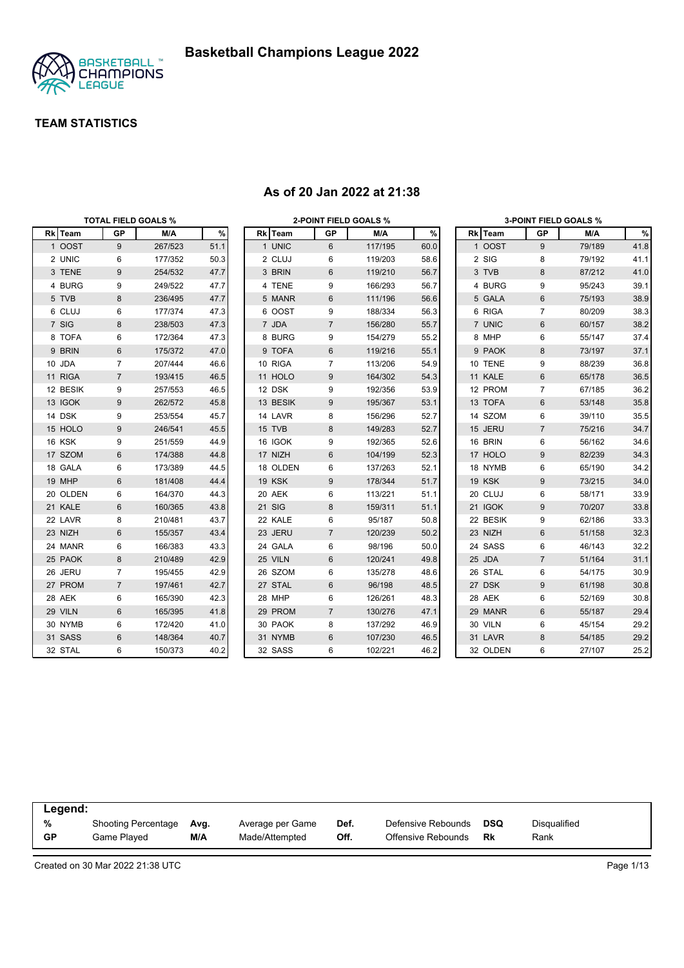

|          |                | <b>TOTAL FIELD GOALS %</b> |      |               | <b>2-POINT FIELD GOALS %</b> |         |      |          |                 | <b>3-POINT FIELD GOALS %</b> |      |
|----------|----------------|----------------------------|------|---------------|------------------------------|---------|------|----------|-----------------|------------------------------|------|
| Rk Team  | <b>GP</b>      | M/A                        | %    | Rk Team       | GP                           | M/A     | %    | Rk Team  | <b>GP</b>       | M/A                          | %    |
| 1 OOST   | 9              | 267/523                    | 51.1 | 1 UNIC        | 6                            | 117/195 | 60.0 | 1 OOST   | 9               | 79/189                       | 41.8 |
| 2 UNIC   | 6              | 177/352                    | 50.3 | 2 CLUJ        | 6                            | 119/203 | 58.6 | 2 SIG    | 8               | 79/192                       | 41.1 |
| 3 TENE   | 9              | 254/532                    | 47.7 | 3 BRIN        | 6                            | 119/210 | 56.7 | 3 TVB    | 8               | 87/212                       | 41.0 |
| 4 BURG   | 9              | 249/522                    | 47.7 | 4 TENE        | 9                            | 166/293 | 56.7 | 4 BURG   | 9               | 95/243                       | 39.1 |
| 5 TVB    | 8              | 236/495                    | 47.7 | 5 MANR        | 6                            | 111/196 | 56.6 | 5 GALA   | $6\phantom{1}6$ | 75/193                       | 38.9 |
| 6 CLUJ   | 6              | 177/374                    | 47.3 | 6 OOST        | 9                            | 188/334 | 56.3 | 6 RIGA   | $\overline{7}$  | 80/209                       | 38.3 |
| 7 SIG    | 8              | 238/503                    | 47.3 | 7 JDA         | $\overline{7}$               | 156/280 | 55.7 | 7 UNIC   | $\,6$           | 60/157                       | 38.2 |
| 8 TOFA   | 6              | 172/364                    | 47.3 | 8 BURG        | 9                            | 154/279 | 55.2 | 8 MHP    | 6               | 55/147                       | 37.4 |
| 9 BRIN   | 6              | 175/372                    | 47.0 | 9 TOFA        | 6                            | 119/216 | 55.1 | 9 PAOK   | $\bf 8$         | 73/197                       | 37.1 |
| 10 JDA   | $\overline{7}$ | 207/444                    | 46.6 | 10 RIGA       | $\overline{7}$               | 113/206 | 54.9 | 10 TENE  | 9               | 88/239                       | 36.8 |
| 11 RIGA  | $\overline{7}$ | 193/415                    | 46.5 | 11 HOLO       | 9                            | 164/302 | 54.3 | 11 KALE  | $\,6$           | 65/178                       | 36.5 |
| 12 BESIK | 9              | 257/553                    | 46.5 | 12 DSK        | 9                            | 192/356 | 53.9 | 12 PROM  | $\overline{7}$  | 67/185                       | 36.2 |
| 13 IGOK  | 9              | 262/572                    | 45.8 | 13 BESIK      | 9                            | 195/367 | 53.1 | 13 TOFA  | $6\phantom{1}$  | 53/148                       | 35.8 |
| 14 DSK   | 9              | 253/554                    | 45.7 | 14 LAVR       | 8                            | 156/296 | 52.7 | 14 SZOM  | 6               | 39/110                       | 35.5 |
| 15 HOLO  | 9              | 246/541                    | 45.5 | 15 TVB        | 8                            | 149/283 | 52.7 | 15 JERU  | $\overline{7}$  | 75/216                       | 34.7 |
| 16 KSK   | 9              | 251/559                    | 44.9 | 16 IGOK       | 9                            | 192/365 | 52.6 | 16 BRIN  | 6               | 56/162                       | 34.6 |
| 17 SZOM  | 6              | 174/388                    | 44.8 | 17 NIZH       | 6                            | 104/199 | 52.3 | 17 HOLO  | $9\,$           | 82/239                       | 34.3 |
| 18 GALA  | 6              | 173/389                    | 44.5 | 18 OLDEN      | 6                            | 137/263 | 52.1 | 18 NYMB  | 6               | 65/190                       | 34.2 |
| 19 MHP   | 6              | 181/408                    | 44.4 | 19 KSK        | 9                            | 178/344 | 51.7 | 19 KSK   | $9\,$           | 73/215                       | 34.0 |
| 20 OLDEN | 6              | 164/370                    | 44.3 | 20 AEK        | 6                            | 113/221 | 51.1 | 20 CLUJ  | 6               | 58/171                       | 33.9 |
| 21 KALE  | 6              | 160/365                    | 43.8 | <b>21 SIG</b> | 8                            | 159/311 | 51.1 | 21 IGOK  | 9               | 70/207                       | 33.8 |
| 22 LAVR  | 8              | 210/481                    | 43.7 | 22 KALE       | 6                            | 95/187  | 50.8 | 22 BESIK | 9               | 62/186                       | 33.3 |
| 23 NIZH  | 6              | 155/357                    | 43.4 | 23 JERU       | $\overline{7}$               | 120/239 | 50.2 | 23 NIZH  | $6\phantom{1}$  | 51/158                       | 32.3 |
| 24 MANR  | 6              | 166/383                    | 43.3 | 24 GALA       | 6                            | 98/196  | 50.0 | 24 SASS  | 6               | 46/143                       | 32.2 |
| 25 PAOK  | 8              | 210/489                    | 42.9 | 25 VILN       | 6                            | 120/241 | 49.8 | 25 JDA   | $\overline{7}$  | 51/164                       | 31.1 |
| 26 JERU  | $\overline{7}$ | 195/455                    | 42.9 | 26 SZOM       | 6                            | 135/278 | 48.6 | 26 STAL  | 6               | 54/175                       | 30.9 |
| 27 PROM  | $\overline{7}$ | 197/461                    | 42.7 | 27 STAL       | 6                            | 96/198  | 48.5 | 27 DSK   | $9\,$           | 61/198                       | 30.8 |
| 28 AEK   | 6              | 165/390                    | 42.3 | 28 MHP        | 6                            | 126/261 | 48.3 | 28 AEK   | 6               | 52/169                       | 30.8 |
| 29 VILN  | 6              | 165/395                    | 41.8 | 29 PROM       | $\overline{7}$               | 130/276 | 47.1 | 29 MANR  | $\,6$           | 55/187                       | 29.4 |
| 30 NYMB  | 6              | 172/420                    | 41.0 | 30 PAOK       | 8                            | 137/292 | 46.9 | 30 VILN  | 6               | 45/154                       | 29.2 |
| 31 SASS  | 6              | 148/364                    | 40.7 | 31 NYMB       | 6                            | 107/230 | 46.5 | 31 LAVR  | 8               | 54/185                       | 29.2 |
| 32 STAL  | 6              | 150/373                    | 40.2 | 32 SASS       | 6                            | 102/221 | 46.2 | 32 OLDEN | 6               | 27/107                       | 25.2 |

#### **As of 20 Jan 2022 at 21:38**

| Legend:   |                            |      |                  |      |                    |            |              |  |
|-----------|----------------------------|------|------------------|------|--------------------|------------|--------------|--|
| %         | <b>Shooting Percentage</b> | Avg. | Average per Game | Def. | Defensive Rebounds | <b>DSQ</b> | Disqualified |  |
| <b>GP</b> | Game Played                | M/A  | Made/Attempted   | Off. | Offensive Rebounds | Rk         | Rank         |  |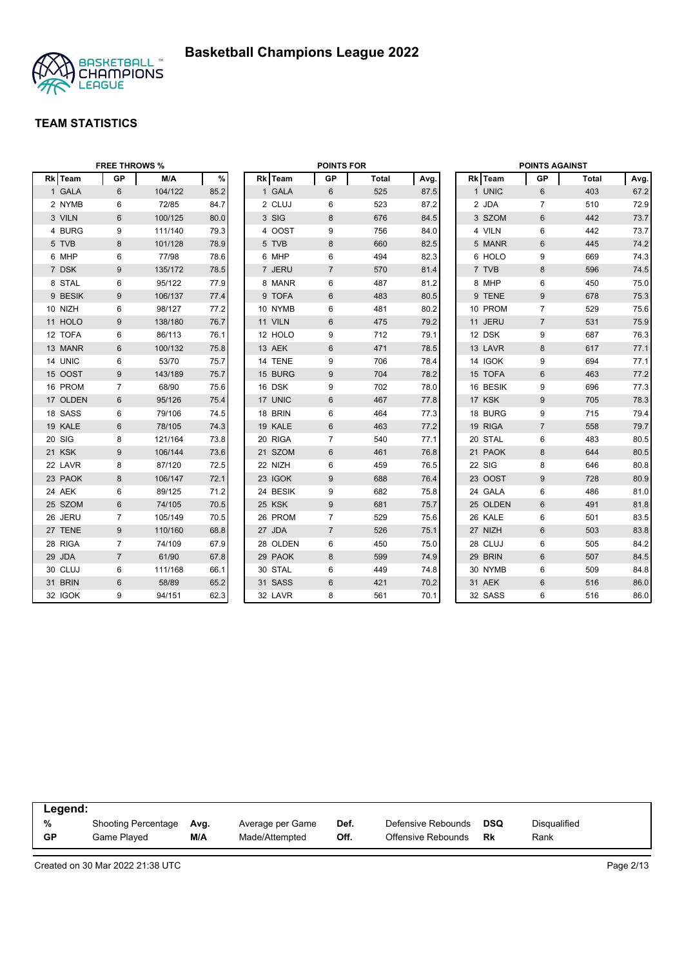

| <b>FREE THROWS %</b> |                |         |      | <b>POINTS FOR</b> |          |                |              |      | <b>POINTS AGAINST</b> |          |                  |              |      |
|----------------------|----------------|---------|------|-------------------|----------|----------------|--------------|------|-----------------------|----------|------------------|--------------|------|
| Rk Team              | <b>GP</b>      | M/A     | $\%$ |                   | Rk Team  | <b>GP</b>      | <b>Total</b> | Avg. |                       | Rk Team  | <b>GP</b>        | <b>Total</b> | Avg. |
| 1 GALA               | 6              | 104/122 | 85.2 |                   | 1 GALA   | 6              | 525          | 87.5 |                       | 1 UNIC   | 6                | 403          | 67.2 |
| 2 NYMB               | 6              | 72/85   | 84.7 |                   | 2 CLUJ   | 6              | 523          | 87.2 |                       | 2 JDA    | $\overline{7}$   | 510          | 72.9 |
| 3 VILN               | 6              | 100/125 | 80.0 |                   | 3 SIG    | 8              | 676          | 84.5 |                       | 3 SZOM   | 6                | 442          | 73.7 |
| 4 BURG               | 9              | 111/140 | 79.3 |                   | 4 OOST   | 9              | 756          | 84.0 |                       | 4 VILN   | 6                | 442          | 73.7 |
| 5 TVB                | 8              | 101/128 | 78.9 |                   | 5 TVB    | 8              | 660          | 82.5 |                       | 5 MANR   | $6\phantom{1}$   | 445          | 74.2 |
| 6 MHP                | 6              | 77/98   | 78.6 |                   | 6 MHP    | 6              | 494          | 82.3 |                       | 6 HOLO   | 9                | 669          | 74.3 |
| 7 DSK                | 9              | 135/172 | 78.5 |                   | 7 JERU   | $\overline{7}$ | 570          | 81.4 |                       | 7 TVB    | $\boldsymbol{8}$ | 596          | 74.5 |
| 8 STAL               | 6              | 95/122  | 77.9 |                   | 8 MANR   | 6              | 487          | 81.2 |                       | 8 MHP    | 6                | 450          | 75.0 |
| 9 BESIK              | 9              | 106/137 | 77.4 |                   | 9 TOFA   | 6              | 483          | 80.5 |                       | 9 TENE   | 9                | 678          | 75.3 |
| 10 NIZH              | 6              | 98/127  | 77.2 |                   | 10 NYMB  | 6              | 481          | 80.2 |                       | 10 PROM  | $\overline{7}$   | 529          | 75.6 |
| 11 HOLO              | 9              | 138/180 | 76.7 |                   | 11 VILN  | 6              | 475          | 79.2 |                       | 11 JERU  | $\overline{7}$   | 531          | 75.9 |
| 12 TOFA              | 6              | 86/113  | 76.1 |                   | 12 HOLO  | 9              | 712          | 79.1 |                       | 12 DSK   | 9                | 687          | 76.3 |
| 13 MANR              | 6              | 100/132 | 75.8 |                   | 13 AEK   | 6              | 471          | 78.5 |                       | 13 LAVR  | 8                | 617          | 77.1 |
| 14 UNIC              | 6              | 53/70   | 75.7 |                   | 14 TENE  | 9              | 706          | 78.4 |                       | 14 IGOK  | 9                | 694          | 77.1 |
| 15 OOST              | 9              | 143/189 | 75.7 |                   | 15 BURG  | 9              | 704          | 78.2 |                       | 15 TOFA  | 6                | 463          | 77.2 |
| 16 PROM              | $\overline{7}$ | 68/90   | 75.6 |                   | 16 DSK   | 9              | 702          | 78.0 |                       | 16 BESIK | 9                | 696          | 77.3 |
| 17 OLDEN             | 6              | 95/126  | 75.4 |                   | 17 UNIC  | 6              | 467          | 77.8 |                       | 17 KSK   | $9$              | 705          | 78.3 |
| 18 SASS              | 6              | 79/106  | 74.5 |                   | 18 BRIN  | 6              | 464          | 77.3 |                       | 18 BURG  | 9                | 715          | 79.4 |
| 19 KALE              | 6              | 78/105  | 74.3 |                   | 19 KALE  | 6              | 463          | 77.2 |                       | 19 RIGA  | $\overline{7}$   | 558          | 79.7 |
| 20 SIG               | 8              | 121/164 | 73.8 |                   | 20 RIGA  | $\overline{7}$ | 540          | 77.1 |                       | 20 STAL  | 6                | 483          | 80.5 |
| 21 KSK               | 9              | 106/144 | 73.6 |                   | 21 SZOM  | 6              | 461          | 76.8 |                       | 21 PAOK  | 8                | 644          | 80.5 |
| 22 LAVR              | 8              | 87/120  | 72.5 |                   | 22 NIZH  | 6              | 459          | 76.5 |                       | 22 SIG   | 8                | 646          | 80.8 |
| 23 PAOK              | 8              | 106/147 | 72.1 |                   | 23 IGOK  | 9              | 688          | 76.4 |                       | 23 OOST  | 9                | 728          | 80.9 |
| 24 AEK               | 6              | 89/125  | 71.2 |                   | 24 BESIK | 9              | 682          | 75.8 |                       | 24 GALA  | 6                | 486          | 81.0 |
| 25 SZOM              | 6              | 74/105  | 70.5 |                   | 25 KSK   | 9              | 681          | 75.7 |                       | 25 OLDEN | 6                | 491          | 81.8 |
| 26 JERU              | $\overline{7}$ | 105/149 | 70.5 |                   | 26 PROM  | $\overline{7}$ | 529          | 75.6 |                       | 26 KALE  | 6                | 501          | 83.5 |
| 27 TENE              | 9              | 110/160 | 68.8 |                   | 27 JDA   | $\overline{7}$ | 526          | 75.1 |                       | 27 NIZH  | $6\phantom{1}$   | 503          | 83.8 |
| 28 RIGA              | $\overline{7}$ | 74/109  | 67.9 |                   | 28 OLDEN | 6              | 450          | 75.0 |                       | 28 CLUJ  | 6                | 505          | 84.2 |
| 29 JDA               | $\overline{7}$ | 61/90   | 67.8 |                   | 29 PAOK  | 8              | 599          | 74.9 |                       | 29 BRIN  | $6\phantom{1}$   | 507          | 84.5 |
| 30 CLUJ              | 6              | 111/168 | 66.1 |                   | 30 STAL  | 6              | 449          | 74.8 |                       | 30 NYMB  | 6                | 509          | 84.8 |
| 31 BRIN              | 6              | 58/89   | 65.2 |                   | 31 SASS  | 6              | 421          | 70.2 |                       | 31 AEK   | 6                | 516          | 86.0 |
| 32 IGOK              | 9              | 94/151  | 62.3 |                   | 32 LAVR  | 8              | 561          | 70.1 |                       | 32 SASS  | $6\phantom{1}6$  | 516          | 86.0 |

| Legend:   |                            |      |                  |      |                    |     |              |  |
|-----------|----------------------------|------|------------------|------|--------------------|-----|--------------|--|
| %         | <b>Shooting Percentage</b> | Avg. | Average per Game | Def. | Defensive Rebounds | DSQ | Disqualified |  |
| <b>GP</b> | Game Played                | M/A  | Made/Attempted   | Off. | Offensive Rebounds | Rk  | Rank         |  |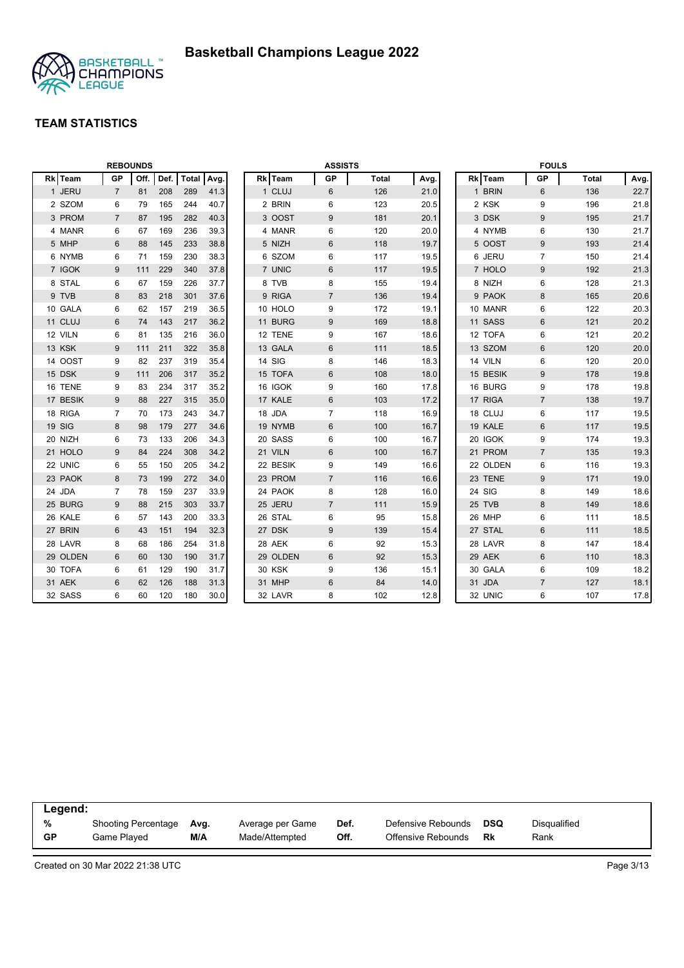

| <b>REBOUNDS</b> |                |      | <b>ASSISTS</b> |              |      |  |          | <b>FOULS</b>   |              |      |          |                |              |      |
|-----------------|----------------|------|----------------|--------------|------|--|----------|----------------|--------------|------|----------|----------------|--------------|------|
| Rk Team         | <b>GP</b>      | Off. | Def.           | <b>Total</b> | Avg. |  | Rk Team  | <b>GP</b>      | <b>Total</b> | Avg. | Rk Team  | <b>GP</b>      | <b>Total</b> | Avg. |
| 1 JERU          | $\overline{7}$ | 81   | 208            | 289          | 41.3 |  | 1 CLUJ   | 6              | 126          | 21.0 | 1 BRIN   | 6              | 136          | 22.7 |
| 2 SZOM          | 6              | 79   | 165            | 244          | 40.7 |  | 2 BRIN   | 6              | 123          | 20.5 | 2 KSK    | 9              | 196          | 21.8 |
| 3 PROM          | $\overline{7}$ | 87   | 195            | 282          | 40.3 |  | 3 OOST   | 9              | 181          | 20.1 | 3 DSK    | $9\,$          | 195          | 21.7 |
| 4 MANR          | 6              | 67   | 169            | 236          | 39.3 |  | 4 MANR   | 6              | 120          | 20.0 | 4 NYMB   | 6              | 130          | 21.7 |
| 5 MHP           | 6              | 88   | 145            | 233          | 38.8 |  | 5 NIZH   | 6              | 118          | 19.7 | 5 OOST   | 9              | 193          | 21.4 |
| 6 NYMB          | 6              | 71   | 159            | 230          | 38.3 |  | 6 SZOM   | 6              | 117          | 19.5 | 6 JERU   | $\overline{7}$ | 150          | 21.4 |
| 7 IGOK          | 9              | 111  | 229            | 340          | 37.8 |  | 7 UNIC   | 6              | 117          | 19.5 | 7 HOLO   | 9              | 192          | 21.3 |
| 8 STAL          | 6              | 67   | 159            | 226          | 37.7 |  | 8 TVB    | 8              | 155          | 19.4 | 8 NIZH   | 6              | 128          | 21.3 |
| 9 TVB           | 8              | 83   | 218            | 301          | 37.6 |  | 9 RIGA   | $\overline{7}$ | 136          | 19.4 | 9 PAOK   | 8              | 165          | 20.6 |
| 10 GALA         | 6              | 62   | 157            | 219          | 36.5 |  | 10 HOLO  | 9              | 172          | 19.1 | 10 MANR  | 6              | 122          | 20.3 |
| 11 CLUJ         | 6              | 74   | 143            | 217          | 36.2 |  | 11 BURG  | 9              | 169          | 18.8 | 11 SASS  | $6\phantom{1}$ | 121          | 20.2 |
| 12 VILN         | 6              | 81   | 135            | 216          | 36.0 |  | 12 TENE  | 9              | 167          | 18.6 | 12 TOFA  | $\,6\,$        | 121          | 20.2 |
| 13 KSK          | 9              | 111  | 211            | 322          | 35.8 |  | 13 GALA  | $\,6$          | 111          | 18.5 | 13 SZOM  | $\,6$          | 120          | 20.0 |
| 14 OOST         | 9              | 82   | 237            | 319          | 35.4 |  | 14 SIG   | 8              | 146          | 18.3 | 14 VILN  | 6              | 120          | 20.0 |
| 15 DSK          | 9              | 111  | 206            | 317          | 35.2 |  | 15 TOFA  | 6              | 108          | 18.0 | 15 BESIK | 9              | 178          | 19.8 |
| 16 TENE         | 9              | 83   | 234            | 317          | 35.2 |  | 16 IGOK  | 9              | 160          | 17.8 | 16 BURG  | 9              | 178          | 19.8 |
| 17 BESIK        | 9              | 88   | 227            | 315          | 35.0 |  | 17 KALE  | 6              | 103          | 17.2 | 17 RIGA  | $\overline{7}$ | 138          | 19.7 |
| 18 RIGA         | $\overline{7}$ | 70   | 173            | 243          | 34.7 |  | 18 JDA   | $\overline{7}$ | 118          | 16.9 | 18 CLUJ  | 6              | 117          | 19.5 |
| 19 SIG          | 8              | 98   | 179            | 277          | 34.6 |  | 19 NYMB  | 6              | 100          | 16.7 | 19 KALE  | 6              | 117          | 19.5 |
| 20 NIZH         | 6              | 73   | 133            | 206          | 34.3 |  | 20 SASS  | 6              | 100          | 16.7 | 20 IGOK  | 9              | 174          | 19.3 |
| 21 HOLO         | 9              | 84   | 224            | 308          | 34.2 |  | 21 VILN  | $6\phantom{1}$ | 100          | 16.7 | 21 PROM  | $\overline{7}$ | 135          | 19.3 |
| 22 UNIC         | 6              | 55   | 150            | 205          | 34.2 |  | 22 BESIK | 9              | 149          | 16.6 | 22 OLDEN | 6              | 116          | 19.3 |
| 23 PAOK         | 8              | 73   | 199            | 272          | 34.0 |  | 23 PROM  | $\overline{7}$ | 116          | 16.6 | 23 TENE  | 9              | 171          | 19.0 |
| 24 JDA          | 7              | 78   | 159            | 237          | 33.9 |  | 24 PAOK  | 8              | 128          | 16.0 | 24 SIG   | 8              | 149          | 18.6 |
| 25 BURG         | 9              | 88   | 215            | 303          | 33.7 |  | 25 JERU  | $\overline{7}$ | 111          | 15.9 | 25 TVB   | 8              | 149          | 18.6 |
| 26 KALE         | 6              | 57   | 143            | 200          | 33.3 |  | 26 STAL  | 6              | 95           | 15.8 | 26 MHP   | 6              | 111          | 18.5 |
| 27 BRIN         | 6              | 43   | 151            | 194          | 32.3 |  | 27 DSK   | 9              | 139          | 15.4 | 27 STAL  | 6              | 111          | 18.5 |
| 28 LAVR         | 8              | 68   | 186            | 254          | 31.8 |  | 28 AEK   | 6              | 92           | 15.3 | 28 LAVR  | 8              | 147          | 18.4 |
| 29 OLDEN        | 6              | 60   | 130            | 190          | 31.7 |  | 29 OLDEN | 6              | 92           | 15.3 | 29 AEK   | 6              | 110          | 18.3 |
| 30 TOFA         | 6              | 61   | 129            | 190          | 31.7 |  | 30 KSK   | 9              | 136          | 15.1 | 30 GALA  | 6              | 109          | 18.2 |
| 31 AEK          | 6              | 62   | 126            | 188          | 31.3 |  | 31 MHP   | 6              | 84           | 14.0 | 31 JDA   | $\overline{7}$ | 127          | 18.1 |
| 32 SASS         | 6              | 60   | 120            | 180          | 30.0 |  | 32 LAVR  | 8              | 102          | 12.8 | 32 UNIC  | $\,6\,$        | 107          | 17.8 |

| Legend: |                            |      |                  |      |                    |     |              |
|---------|----------------------------|------|------------------|------|--------------------|-----|--------------|
| %       | <b>Shooting Percentage</b> | Ava. | Average per Game | Def. | Defensive Rebounds | DSQ | Disqualified |
| GP      | Game Plaved                | M/A  | Made/Attempted   | Off. | Offensive Rebounds | Rk  | Rank         |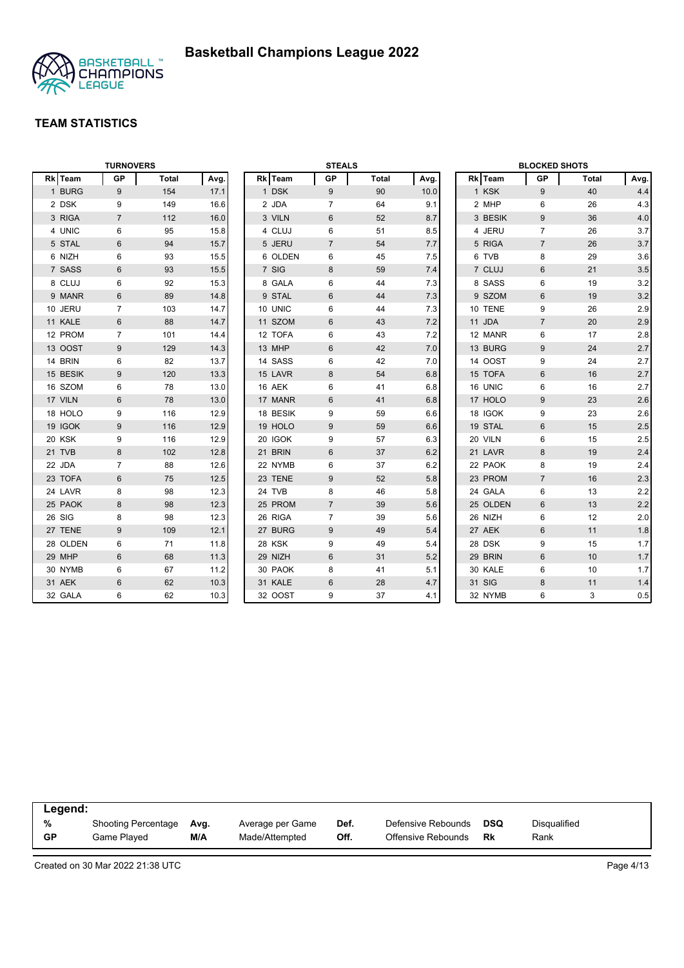

| <b>TURNOVERS</b> |                |       |      | <b>STEALS</b> |          |                |              |      | <b>BLOCKED SHOTS</b> |          |                |       |         |
|------------------|----------------|-------|------|---------------|----------|----------------|--------------|------|----------------------|----------|----------------|-------|---------|
| Rk Team          | <b>GP</b>      | Total | Avg. |               | Rk Team  | GP             | <b>Total</b> | Avg. |                      | Rk Team  | <b>GP</b>      | Total | Avg.    |
| 1 BURG           | 9              | 154   | 17.1 |               | 1 DSK    | 9              | 90           | 10.0 |                      | 1 KSK    | 9              | 40    | 4.4     |
| 2 DSK            | 9              | 149   | 16.6 |               | 2 JDA    | $\overline{7}$ | 64           | 9.1  |                      | 2 MHP    | 6              | 26    | 4.3     |
| 3 RIGA           | $\overline{7}$ | 112   | 16.0 |               | 3 VILN   | 6              | 52           | 8.7  |                      | 3 BESIK  | 9              | 36    | 4.0     |
| 4 UNIC           | 6              | 95    | 15.8 |               | 4 CLUJ   | 6              | 51           | 8.5  |                      | 4 JERU   | $\overline{7}$ | 26    | 3.7     |
| 5 STAL           | 6              | 94    | 15.7 |               | 5 JERU   | $\overline{7}$ | 54           | 7.7  |                      | 5 RIGA   | $\overline{7}$ | 26    | 3.7     |
| 6 NIZH           | 6              | 93    | 15.5 |               | 6 OLDEN  | 6              | 45           | 7.5  |                      | 6 TVB    | 8              | 29    | 3.6     |
| 7 SASS           | 6              | 93    | 15.5 |               | 7 SIG    | 8              | 59           | 7.4  |                      | 7 CLUJ   | 6              | 21    | 3.5     |
| 8 CLUJ           | 6              | 92    | 15.3 |               | 8 GALA   | 6              | 44           | 7.3  |                      | 8 SASS   | 6              | 19    | 3.2     |
| 9 MANR           | $6\phantom{1}$ | 89    | 14.8 |               | 9 STAL   | 6              | 44           | 7.3  |                      | 9 SZOM   | $6\phantom{1}$ | 19    | 3.2     |
| 10 JERU          | 7              | 103   | 14.7 |               | 10 UNIC  | 6              | 44           | 7.3  |                      | 10 TENE  | 9              | 26    | 2.9     |
| 11 KALE          | 6              | 88    | 14.7 |               | 11 SZOM  | 6              | 43           | 7.2  |                      | 11 JDA   | $\overline{7}$ | 20    | 2.9     |
| 12 PROM          | 7              | 101   | 14.4 |               | 12 TOFA  | 6              | 43           | 7.2  |                      | 12 MANR  | 6              | 17    | 2.8     |
| 13 OOST          | 9              | 129   | 14.3 |               | 13 MHP   | 6              | 42           | 7.0  |                      | 13 BURG  | 9              | 24    | 2.7     |
| 14 BRIN          | 6              | 82    | 13.7 |               | 14 SASS  | 6              | 42           | 7.0  |                      | 14 OOST  | 9              | 24    | 2.7     |
| 15 BESIK         | 9              | 120   | 13.3 |               | 15 LAVR  | 8              | 54           | 6.8  |                      | 15 TOFA  | $6\phantom{1}$ | 16    | 2.7     |
| 16 SZOM          | 6              | 78    | 13.0 |               | 16 AEK   | 6              | 41           | 6.8  |                      | 16 UNIC  | 6              | 16    | 2.7     |
| 17 VILN          | $6\phantom{1}$ | 78    | 13.0 |               | 17 MANR  | 6              | 41           | 6.8  |                      | 17 HOLO  | 9              | 23    | 2.6     |
| 18 HOLO          | 9              | 116   | 12.9 |               | 18 BESIK | 9              | 59           | 6.6  |                      | 18 IGOK  | 9              | 23    | 2.6     |
| 19 IGOK          | 9              | 116   | 12.9 |               | 19 HOLO  | 9              | 59           | 6.6  |                      | 19 STAL  | $6\phantom{1}$ | 15    | 2.5     |
| 20 KSK           | 9              | 116   | 12.9 |               | 20 IGOK  | 9              | 57           | 6.3  |                      | 20 VILN  | 6              | 15    | 2.5     |
| 21 TVB           | 8              | 102   | 12.8 |               | 21 BRIN  | $6\,$          | 37           | 6.2  |                      | 21 LAVR  | $\bf 8$        | 19    | 2.4     |
| 22 JDA           | $\overline{7}$ | 88    | 12.6 |               | 22 NYMB  | 6              | 37           | 6.2  |                      | 22 PAOK  | 8              | 19    | 2.4     |
| 23 TOFA          | $\,6\,$        | 75    | 12.5 |               | 23 TENE  | 9              | 52           | 5.8  |                      | 23 PROM  | $\overline{7}$ | 16    | 2.3     |
| 24 LAVR          | 8              | 98    | 12.3 |               | 24 TVB   | 8              | 46           | 5.8  |                      | 24 GALA  | 6              | 13    | 2.2     |
| 25 PAOK          | 8              | 98    | 12.3 |               | 25 PROM  | $\overline{7}$ | 39           | 5.6  |                      | 25 OLDEN | $6\phantom{1}$ | 13    | 2.2     |
| 26 SIG           | 8              | 98    | 12.3 |               | 26 RIGA  | $\overline{7}$ | 39           | 5.6  |                      | 26 NIZH  | 6              | 12    | 2.0     |
| 27 TENE          | 9              | 109   | 12.1 |               | 27 BURG  | 9              | 49           | 5.4  |                      | 27 AEK   | $6\phantom{1}$ | 11    | 1.8     |
| 28 OLDEN         | 6              | 71    | 11.8 |               | 28 KSK   | 9              | 49           | 5.4  |                      | 28 DSK   | 9              | 15    | 1.7     |
| 29 MHP           | 6              | 68    | 11.3 |               | 29 NIZH  | 6              | 31           | 5.2  |                      | 29 BRIN  | 6              | 10    | 1.7     |
| 30 NYMB          | 6              | 67    | 11.2 |               | 30 PAOK  | 8              | 41           | 5.1  |                      | 30 KALE  | 6              | 10    | 1.7     |
| 31 AEK           | 6              | 62    | 10.3 |               | 31 KALE  | $6\,$          | 28           | 4.7  |                      | 31 SIG   | 8              | 11    | 1.4     |
| 32 GALA          | 6              | 62    | 10.3 |               | 32 OOST  | 9              | 37           | 4.1  |                      | 32 NYMB  | 6              | 3     | $0.5\,$ |

| Legend:   |                            |      |                  |      |                    |            |              |  |
|-----------|----------------------------|------|------------------|------|--------------------|------------|--------------|--|
| %         | <b>Shooting Percentage</b> | Avg. | Average per Game | Def. | Defensive Rebounds | <b>DSQ</b> | Disqualified |  |
| <b>GP</b> | Game Played                | M/A  | Made/Attempted   | Off. | Offensive Rebounds | Rk         | Rank         |  |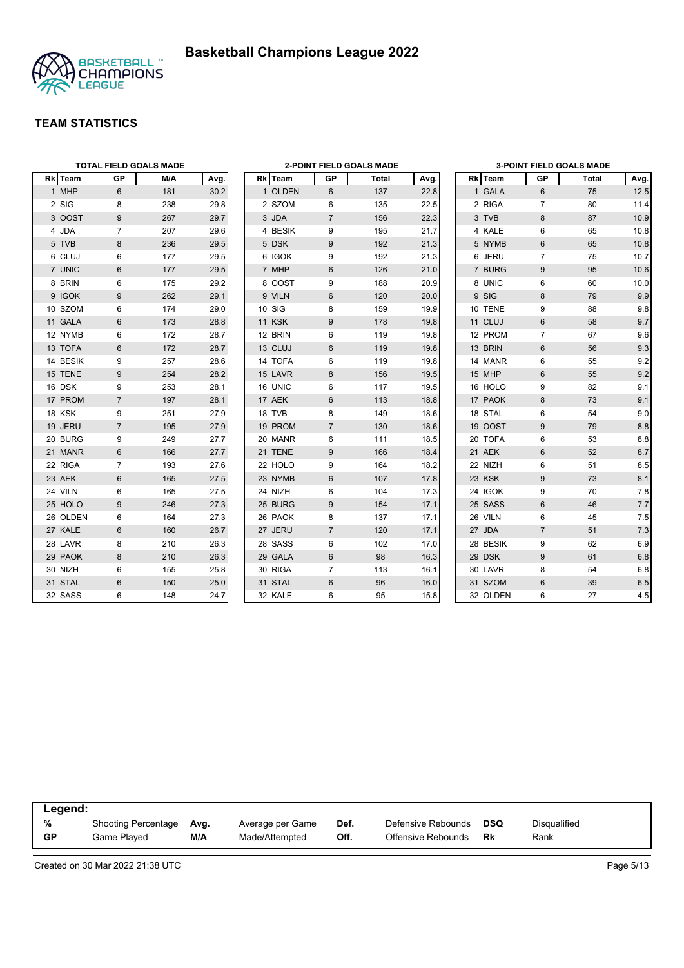

| <b>TOTAL FIELD GOALS MADE</b> |                |     |      | 2-POINT FIELD GOALS MADE<br>Rk Team |               |                |       |      | <b>3-POINT FIELD GOALS MADE</b> |          |                |       |         |
|-------------------------------|----------------|-----|------|-------------------------------------|---------------|----------------|-------|------|---------------------------------|----------|----------------|-------|---------|
| Rk Team                       | <b>GP</b>      | M/A | Avg. |                                     |               | GP             | Total | Avg. |                                 | Rk Team  | <b>GP</b>      | Total | Avg.    |
| 1 MHP                         | 6              | 181 | 30.2 |                                     | 1 OLDEN       | 6              | 137   | 22.8 |                                 | 1 GALA   | 6              | 75    | 12.5    |
| 2 SIG                         | 8              | 238 | 29.8 |                                     | 2 SZOM        | 6              | 135   | 22.5 |                                 | 2 RIGA   | $\overline{7}$ | 80    | 11.4    |
| 3 OOST                        | 9              | 267 | 29.7 |                                     | 3 JDA         | $\overline{7}$ | 156   | 22.3 |                                 | 3 TVB    | 8              | 87    | 10.9    |
| 4 JDA                         | $\overline{7}$ | 207 | 29.6 |                                     | 4 BESIK       | 9              | 195   | 21.7 |                                 | 4 KALE   | 6              | 65    | 10.8    |
| 5 TVB                         | 8              | 236 | 29.5 |                                     | 5 DSK         | 9              | 192   | 21.3 |                                 | 5 NYMB   | 6              | 65    | 10.8    |
| 6 CLUJ                        | 6              | 177 | 29.5 |                                     | 6 IGOK        | 9              | 192   | 21.3 |                                 | 6 JERU   | $\overline{7}$ | 75    | 10.7    |
| 7 UNIC                        | 6              | 177 | 29.5 |                                     | 7 MHP         | 6              | 126   | 21.0 |                                 | 7 BURG   | 9              | 95    | 10.6    |
| 8 BRIN                        | 6              | 175 | 29.2 |                                     | 8 OOST        | 9              | 188   | 20.9 |                                 | 8 UNIC   | 6              | 60    | 10.0    |
| 9 IGOK                        | 9              | 262 | 29.1 |                                     | 9 VILN        | 6              | 120   | 20.0 |                                 | 9 SIG    | 8              | 79    | 9.9     |
| 10 SZOM                       | 6              | 174 | 29.0 | 10 SIG                              |               | 8              | 159   | 19.9 |                                 | 10 TENE  | 9              | 88    | 9.8     |
| 11 GALA                       | 6              | 173 | 28.8 |                                     | <b>11 KSK</b> | 9              | 178   | 19.8 |                                 | 11 CLUJ  | $6\phantom{1}$ | 58    | 9.7     |
| 12 NYMB                       | 6              | 172 | 28.7 |                                     | 12 BRIN       | 6              | 119   | 19.8 |                                 | 12 PROM  | $\overline{7}$ | 67    | 9.6     |
| 13 TOFA                       | 6              | 172 | 28.7 |                                     | 13 CLUJ       | 6              | 119   | 19.8 |                                 | 13 BRIN  | $6\phantom{1}$ | 56    | 9.3     |
| 14 BESIK                      | 9              | 257 | 28.6 |                                     | 14 TOFA       | 6              | 119   | 19.8 |                                 | 14 MANR  | 6              | 55    | 9.2     |
| 15 TENE                       | 9              | 254 | 28.2 |                                     | 15 LAVR       | 8              | 156   | 19.5 |                                 | 15 MHP   | 6              | 55    | 9.2     |
| 16 DSK                        | 9              | 253 | 28.1 |                                     | 16 UNIC       | 6              | 117   | 19.5 |                                 | 16 HOLO  | 9              | 82    | 9.1     |
| 17 PROM                       | $\overline{7}$ | 197 | 28.1 |                                     | 17 AEK        | 6              | 113   | 18.8 |                                 | 17 PAOK  | 8              | 73    | 9.1     |
| 18 KSK                        | 9              | 251 | 27.9 |                                     | 18 TVB        | 8              | 149   | 18.6 |                                 | 18 STAL  | 6              | 54    | 9.0     |
| 19 JERU                       | $\overline{7}$ | 195 | 27.9 |                                     | 19 PROM       | $\overline{7}$ | 130   | 18.6 |                                 | 19 OOST  | 9              | 79    | 8.8     |
| 20 BURG                       | 9              | 249 | 27.7 |                                     | 20 MANR       | 6              | 111   | 18.5 |                                 | 20 TOFA  | 6              | 53    | 8.8     |
| 21 MANR                       | 6              | 166 | 27.7 |                                     | 21 TENE       | 9              | 166   | 18.4 |                                 | 21 AEK   | 6              | 52    | 8.7     |
| 22 RIGA                       | 7              | 193 | 27.6 |                                     | 22 HOLO       | 9              | 164   | 18.2 |                                 | 22 NIZH  | 6              | 51    | 8.5     |
| 23 AEK                        | 6              | 165 | 27.5 |                                     | 23 NYMB       | 6              | 107   | 17.8 |                                 | 23 KSK   | $9\,$          | 73    | 8.1     |
| 24 VILN                       | 6              | 165 | 27.5 |                                     | 24 NIZH       | 6              | 104   | 17.3 |                                 | 24 IGOK  | 9              | 70    | 7.8     |
| 25 HOLO                       | 9              | 246 | 27.3 |                                     | 25 BURG       | 9              | 154   | 17.1 |                                 | 25 SASS  | 6              | 46    | 7.7     |
| 26 OLDEN                      | 6              | 164 | 27.3 |                                     | 26 PAOK       | 8              | 137   | 17.1 |                                 | 26 VILN  | $\,6\,$        | 45    | 7.5     |
| 27 KALE                       | 6              | 160 | 26.7 |                                     | 27 JERU       | $\overline{7}$ | 120   | 17.1 |                                 | 27 JDA   | $\overline{7}$ | 51    | 7.3     |
| 28 LAVR                       | 8              | 210 | 26.3 |                                     | 28 SASS       | 6              | 102   | 17.0 |                                 | 28 BESIK | 9              | 62    | 6.9     |
| 29 PAOK                       | 8              | 210 | 26.3 |                                     | 29 GALA       | 6              | 98    | 16.3 |                                 | 29 DSK   | 9              | 61    | 6.8     |
| 30 NIZH                       | 6              | 155 | 25.8 |                                     | 30 RIGA       | $\overline{7}$ | 113   | 16.1 |                                 | 30 LAVR  | 8              | 54    | 6.8     |
| 31 STAL                       | 6              | 150 | 25.0 |                                     | 31 STAL       | $6\phantom{1}$ | 96    | 16.0 |                                 | 31 SZOM  | $6\phantom{1}$ | 39    | $6.5\,$ |
| 32 SASS                       | 6              | 148 | 24.7 |                                     | 32 KALE       | 6              | 95    | 15.8 |                                 | 32 OLDEN | 6              | 27    | 4.5     |

| Legend: |                            |      |                  |      |                    |     |              |  |
|---------|----------------------------|------|------------------|------|--------------------|-----|--------------|--|
| %       | <b>Shooting Percentage</b> | Avg. | Average per Game | Def. | Defensive Rebounds | DSQ | Disqualified |  |
| GP      | Game Played                | M/A  | Made/Attempted   | Off. | Offensive Rebounds | Rk  | Rank         |  |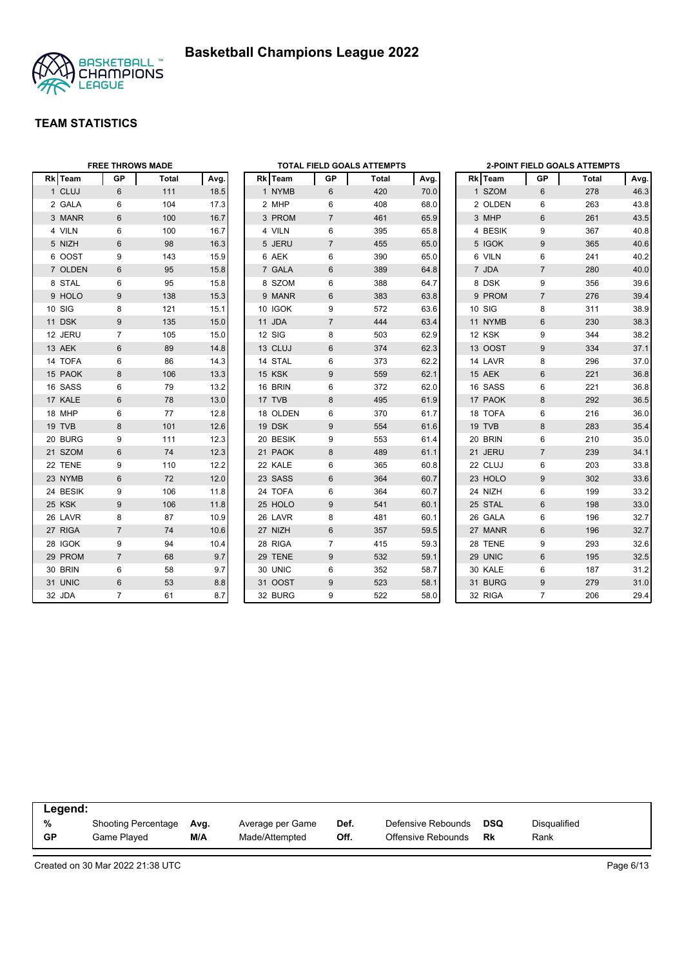



|          | <b>FREE THROWS MADE</b> |       |      | <b>TOTAL FIELD GOALS ATTEMPTS</b> |           |                |       | <b>2-POINT FIELD GOALS ATTEMPTS</b> |  |         |                |       |      |
|----------|-------------------------|-------|------|-----------------------------------|-----------|----------------|-------|-------------------------------------|--|---------|----------------|-------|------|
| Rk Team  | GP                      | Total | Avg. |                                   | Rk   Team | GP             | Total | Avg.                                |  | Rk Team | GP             | Total | Avg. |
| 1 CLUJ   | 6                       | 111   | 18.5 |                                   | 1 NYMB    | 6              | 420   | 70.0                                |  | 1 SZOM  | 6              | 278   | 46.3 |
| 2 GALA   | 6                       | 104   | 17.3 |                                   | 2 MHP     | 6              | 408   | 68.0                                |  | 2 OLDEN | 6              | 263   | 43.8 |
| 3 MANR   | 6                       | 100   | 16.7 |                                   | 3 PROM    | $\overline{7}$ | 461   | 65.9                                |  | 3 MHP   | 6              | 261   | 43.5 |
| 4 VILN   | 6                       | 100   | 16.7 |                                   | 4 VILN    | 6              | 395   | 65.8                                |  | 4 BESIK | 9              | 367   | 40.8 |
| 5 NIZH   | 6                       | 98    | 16.3 |                                   | 5 JERU    | $\overline{7}$ | 455   | 65.0                                |  | 5 IGOK  | 9              | 365   | 40.6 |
| 6 OOST   | 9                       | 143   | 15.9 |                                   | 6 AEK     | 6              | 390   | 65.0                                |  | 6 VILN  | 6              | 241   | 40.2 |
| 7 OLDEN  | 6                       | 95    | 15.8 |                                   | 7 GALA    | $6\phantom{1}$ | 389   | 64.8                                |  | 7 JDA   | $\overline{7}$ | 280   | 40.0 |
| 8 STAL   | 6                       | 95    | 15.8 |                                   | 8 SZOM    | 6              | 388   | 64.7                                |  | 8 DSK   | 9              | 356   | 39.6 |
| 9 HOLO   | 9                       | 138   | 15.3 |                                   | 9 MANR    | 6              | 383   | 63.8                                |  | 9 PROM  | $\overline{7}$ | 276   | 39.4 |
| 10 SIG   | 8                       | 121   | 15.1 |                                   | 10 IGOK   | 9              | 572   | 63.6                                |  | 10 SIG  | 8              | 311   | 38.9 |
| 11 DSK   | 9                       | 135   | 15.0 |                                   | 11 JDA    | $\overline{7}$ | 444   | 63.4                                |  | 11 NYMB | 6              | 230   | 38.3 |
| 12 JERU  | $\overline{7}$          | 105   | 15.0 |                                   | 12 SIG    | 8              | 503   | 62.9                                |  | 12 KSK  | 9              | 344   | 38.2 |
| 13 AEK   | 6                       | 89    | 14.8 |                                   | 13 CLUJ   | $6\phantom{1}$ | 374   | 62.3                                |  | 13 OOST | 9              | 334   | 37.1 |
| 14 TOFA  | 6                       | 86    | 14.3 |                                   | 14 STAL   | 6              | 373   | 62.2                                |  | 14 LAVR | 8              | 296   | 37.0 |
| 15 PAOK  | 8                       | 106   | 13.3 |                                   | 15 KSK    | 9              | 559   | 62.1                                |  | 15 AEK  | $6\phantom{1}$ | 221   | 36.8 |
| 16 SASS  | 6                       | 79    | 13.2 |                                   | 16 BRIN   | 6              | 372   | 62.0                                |  | 16 SASS | 6              | 221   | 36.8 |
| 17 KALE  | 6                       | 78    | 13.0 |                                   | 17 TVB    | 8              | 495   | 61.9                                |  | 17 PAOK | 8              | 292   | 36.5 |
| 18 MHP   | 6                       | 77    | 12.8 |                                   | 18 OLDEN  | 6              | 370   | 61.7                                |  | 18 TOFA | $\,6\,$        | 216   | 36.0 |
| 19 TVB   | 8                       | 101   | 12.6 |                                   | 19 DSK    | 9              | 554   | 61.6                                |  | 19 TVB  | 8              | 283   | 35.4 |
| 20 BURG  | 9                       | 111   | 12.3 |                                   | 20 BESIK  | 9              | 553   | 61.4                                |  | 20 BRIN | 6              | 210   | 35.0 |
| 21 SZOM  | 6                       | 74    | 12.3 |                                   | 21 PAOK   | 8              | 489   | 61.1                                |  | 21 JERU | $\overline{7}$ | 239   | 34.1 |
| 22 TENE  | 9                       | 110   | 12.2 |                                   | 22 KALE   | 6              | 365   | 60.8                                |  | 22 CLUJ | 6              | 203   | 33.8 |
| 23 NYMB  | 6                       | 72    | 12.0 |                                   | 23 SASS   | $6\phantom{1}$ | 364   | 60.7                                |  | 23 HOLO | 9              | 302   | 33.6 |
| 24 BESIK | 9                       | 106   | 11.8 |                                   | 24 TOFA   | 6              | 364   | 60.7                                |  | 24 NIZH | 6              | 199   | 33.2 |
| 25 KSK   | 9                       | 106   | 11.8 |                                   | 25 HOLO   | 9              | 541   | 60.1                                |  | 25 STAL | $6\phantom{1}$ | 198   | 33.0 |
| 26 LAVR  | 8                       | 87    | 10.9 |                                   | 26 LAVR   | 8              | 481   | 60.1                                |  | 26 GALA | 6              | 196   | 32.7 |
| 27 RIGA  | $\overline{7}$          | 74    | 10.6 |                                   | 27 NIZH   | 6              | 357   | 59.5                                |  | 27 MANR | 6              | 196   | 32.7 |
| 28 IGOK  | 9                       | 94    | 10.4 |                                   | 28 RIGA   | $\overline{7}$ | 415   | 59.3                                |  | 28 TENE | 9              | 293   | 32.6 |
| 29 PROM  | $\overline{7}$          | 68    | 9.7  |                                   | 29 TENE   | 9              | 532   | 59.1                                |  | 29 UNIC | 6              | 195   | 32.5 |
| 30 BRIN  | 6                       | 58    | 9.7  |                                   | 30 UNIC   | 6              | 352   | 58.7                                |  | 30 KALE | 6              | 187   | 31.2 |
| 31 UNIC  | 6                       | 53    | 8.8  |                                   | 31 OOST   | 9              | 523   | 58.1                                |  | 31 BURG | 9              | 279   | 31.0 |
| 32 JDA   | $\overline{7}$          | 61    | 8.7  |                                   | 32 BURG   | 9              | 522   | 58.0                                |  | 32 RIGA | $\overline{7}$ | 206   | 29.4 |

| Legend: |                            |      |                  |      |                    |     |              |
|---------|----------------------------|------|------------------|------|--------------------|-----|--------------|
| %       | <b>Shooting Percentage</b> | Ava. | Average per Game | Def. | Defensive Rebounds | DSQ | Disqualified |
| GP      | Game Plaved                | M/A  | Made/Attempted   | Off. | Offensive Rebounds | Rk  | Rank         |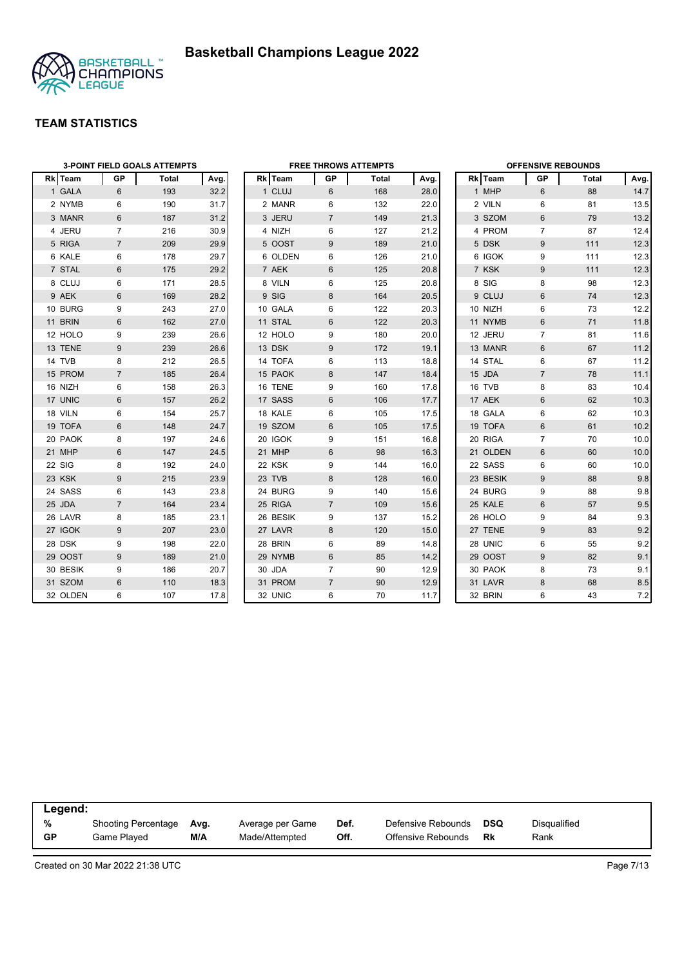

|                | <b>3-POINT FIELD GOALS ATTEMPTS</b> |       |      |  |                |                | <b>FREE THROWS ATTEMPTS</b> |      |          | <b>OFFENSIVE REBOUNDS</b> |       |      |  |
|----------------|-------------------------------------|-------|------|--|----------------|----------------|-----------------------------|------|----------|---------------------------|-------|------|--|
| <b>Rk</b> Team | GP                                  | Total | Avg. |  | <b>Rk</b> Team | GP             | Total                       | Avg. | Rk Team  | GP                        | Total | Avg. |  |
| 1 GALA         | 6                                   | 193   | 32.2 |  | 1 CLUJ         | 6              | 168                         | 28.0 | 1 MHP    | 6                         | 88    | 14.7 |  |
| 2 NYMB         | 6                                   | 190   | 31.7 |  | 2 MANR         | 6              | 132                         | 22.0 | 2 VILN   | 6                         | 81    | 13.5 |  |
| 3 MANR         | 6                                   | 187   | 31.2 |  | 3 JERU         | $\overline{7}$ | 149                         | 21.3 | 3 SZOM   | 6                         | 79    | 13.2 |  |
| 4 JERU         | $\overline{7}$                      | 216   | 30.9 |  | 4 NIZH         | 6              | 127                         | 21.2 | 4 PROM   | $\overline{7}$            | 87    | 12.4 |  |
| 5 RIGA         | $\overline{7}$                      | 209   | 29.9 |  | 5 OOST         | 9              | 189                         | 21.0 | 5 DSK    | 9                         | 111   | 12.3 |  |
| 6 KALE         | 6                                   | 178   | 29.7 |  | 6 OLDEN        | 6              | 126                         | 21.0 | 6 IGOK   | 9                         | 111   | 12.3 |  |
| 7 STAL         | 6                                   | 175   | 29.2 |  | 7 AEK          | 6              | 125                         | 20.8 | 7 KSK    | 9                         | 111   | 12.3 |  |
| 8 CLUJ         | 6                                   | 171   | 28.5 |  | 8 VILN         | 6              | 125                         | 20.8 | 8 SIG    | 8                         | 98    | 12.3 |  |
| 9 AEK          | $6\phantom{1}$                      | 169   | 28.2 |  | 9 SIG          | 8              | 164                         | 20.5 | 9 CLUJ   | $6\phantom{1}$            | 74    | 12.3 |  |
| 10 BURG        | 9                                   | 243   | 27.0 |  | 10 GALA        | 6              | 122                         | 20.3 | 10 NIZH  | 6                         | 73    | 12.2 |  |
| 11 BRIN        | $6\phantom{1}$                      | 162   | 27.0 |  | 11 STAL        | 6              | 122                         | 20.3 | 11 NYMB  | 6                         | 71    | 11.8 |  |
| 12 HOLO        | 9                                   | 239   | 26.6 |  | 12 HOLO        | 9              | 180                         | 20.0 | 12 JERU  | $\overline{7}$            | 81    | 11.6 |  |
| 13 TENE        | 9                                   | 239   | 26.6 |  | 13 DSK         | 9              | 172                         | 19.1 | 13 MANR  | $6\phantom{1}$            | 67    | 11.2 |  |
| 14 TVB         | 8                                   | 212   | 26.5 |  | 14 TOFA        | 6              | 113                         | 18.8 | 14 STAL  | 6                         | 67    | 11.2 |  |
| 15 PROM        | $\overline{7}$                      | 185   | 26.4 |  | 15 PAOK        | 8              | 147                         | 18.4 | 15 JDA   | $\overline{7}$            | 78    | 11.1 |  |
| 16 NIZH        | 6                                   | 158   | 26.3 |  | 16 TENE        | 9              | 160                         | 17.8 | 16 TVB   | 8                         | 83    | 10.4 |  |
| 17 UNIC        | 6                                   | 157   | 26.2 |  | 17 SASS        | 6              | 106                         | 17.7 | 17 AEK   | 6                         | 62    | 10.3 |  |
| 18 VILN        | 6                                   | 154   | 25.7 |  | 18 KALE        | 6              | 105                         | 17.5 | 18 GALA  | 6                         | 62    | 10.3 |  |
| 19 TOFA        | 6                                   | 148   | 24.7 |  | 19 SZOM        | 6              | 105                         | 17.5 | 19 TOFA  | 6                         | 61    | 10.2 |  |
| 20 PAOK        | 8                                   | 197   | 24.6 |  | 20 IGOK        | 9              | 151                         | 16.8 | 20 RIGA  | $\overline{7}$            | 70    | 10.0 |  |
| 21 MHP         | 6                                   | 147   | 24.5 |  | 21 MHP         | 6              | 98                          | 16.3 | 21 OLDEN | 6                         | 60    | 10.0 |  |
| 22 SIG         | 8                                   | 192   | 24.0 |  | 22 KSK         | 9              | 144                         | 16.0 | 22 SASS  | 6                         | 60    | 10.0 |  |
| 23 KSK         | 9                                   | 215   | 23.9 |  | 23 TVB         | 8              | 128                         | 16.0 | 23 BESIK | 9                         | 88    | 9.8  |  |
| 24 SASS        | 6                                   | 143   | 23.8 |  | 24 BURG        | 9              | 140                         | 15.6 | 24 BURG  | 9                         | 88    | 9.8  |  |
| 25 JDA         | $\overline{7}$                      | 164   | 23.4 |  | 25 RIGA        | $\overline{7}$ | 109                         | 15.6 | 25 KALE  | $6\phantom{1}$            | 57    | 9.5  |  |
| 26 LAVR        | 8                                   | 185   | 23.1 |  | 26 BESIK       | 9              | 137                         | 15.2 | 26 HOLO  | 9                         | 84    | 9.3  |  |
| 27 IGOK        | 9                                   | 207   | 23.0 |  | 27 LAVR        | 8              | 120                         | 15.0 | 27 TENE  | 9                         | 83    | 9.2  |  |
| 28 DSK         | 9                                   | 198   | 22.0 |  | 28 BRIN        | 6              | 89                          | 14.8 | 28 UNIC  | 6                         | 55    | 9.2  |  |
| 29 OOST        | 9                                   | 189   | 21.0 |  | 29 NYMB        | 6              | 85                          | 14.2 | 29 OOST  | 9                         | 82    | 9.1  |  |
| 30 BESIK       | 9                                   | 186   | 20.7 |  | 30 JDA         | $\overline{7}$ | 90                          | 12.9 | 30 PAOK  | 8                         | 73    | 9.1  |  |
| 31 SZOM        | $6\phantom{1}$                      | 110   | 18.3 |  | 31 PROM        | $\overline{7}$ | 90                          | 12.9 | 31 LAVR  | 8                         | 68    | 8.5  |  |
| 32 OLDEN       | 6                                   | 107   | 17.8 |  | 32 UNIC        | 6              | 70                          | 11.7 | 32 BRIN  | 6                         | 43    | 7.2  |  |

|           | Legend:             |      |                  |      |                    |     |                     |  |  |  |  |
|-----------|---------------------|------|------------------|------|--------------------|-----|---------------------|--|--|--|--|
| %         | Shooting Percentage | Ava. | Average per Game | Def. | Defensive Rebounds | DSQ | <b>Disqualified</b> |  |  |  |  |
| <b>GP</b> | Game Played         | M/A  | Made/Attempted   | Off. | Offensive Rebounds | Rk  | Rank                |  |  |  |  |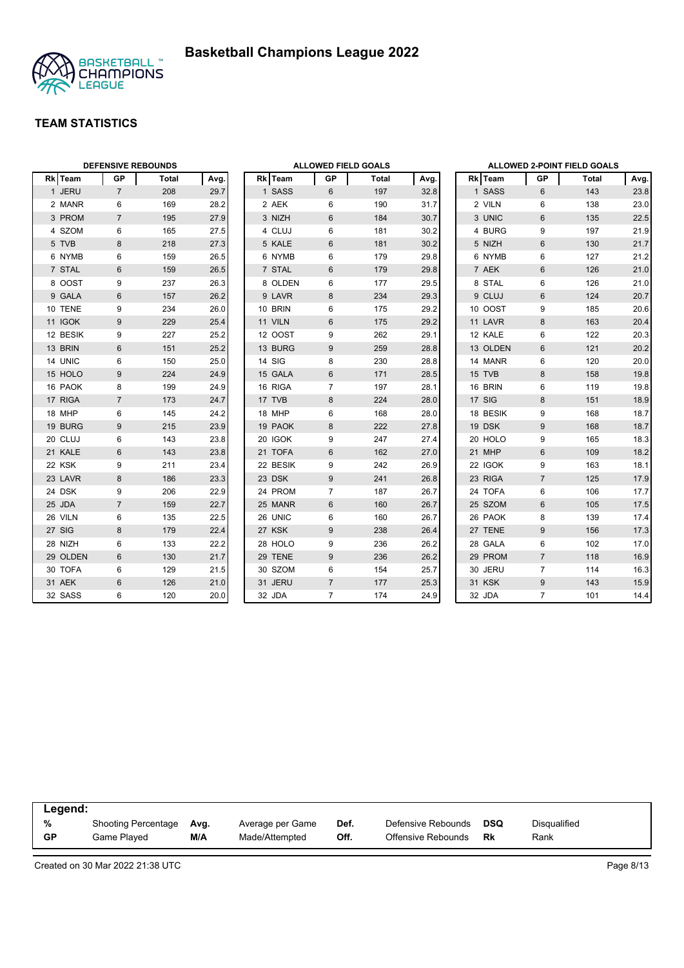



|          | <b>DEFENSIVE REBOUNDS</b> |       |      |  |          | <b>ALLOWED FIELD GOALS</b> |       |      | ALLOWED 2-POINT FIELD GOALS |                |       |      |
|----------|---------------------------|-------|------|--|----------|----------------------------|-------|------|-----------------------------|----------------|-------|------|
| Rk Team  | <b>GP</b>                 | Total | Avg. |  | Rk Team  | GP                         | Total | Avg. | Rk Team                     | GP             | Total | Avg. |
| 1 JERU   | $\overline{7}$            | 208   | 29.7 |  | 1 SASS   | 6                          | 197   | 32.8 | 1 SASS                      | 6              | 143   | 23.8 |
| 2 MANR   | 6                         | 169   | 28.2 |  | 2 AEK    | 6                          | 190   | 31.7 | 2 VILN                      | 6              | 138   | 23.0 |
| 3 PROM   | $\overline{7}$            | 195   | 27.9 |  | 3 NIZH   | 6                          | 184   | 30.7 | 3 UNIC                      | 6              | 135   | 22.5 |
| 4 SZOM   | 6                         | 165   | 27.5 |  | 4 CLUJ   | 6                          | 181   | 30.2 | 4 BURG                      | 9              | 197   | 21.9 |
| 5 TVB    | 8                         | 218   | 27.3 |  | 5 KALE   | 6                          | 181   | 30.2 | 5 NIZH                      | 6              | 130   | 21.7 |
| 6 NYMB   | 6                         | 159   | 26.5 |  | 6 NYMB   | 6                          | 179   | 29.8 | 6 NYMB                      | 6              | 127   | 21.2 |
| 7 STAL   | 6                         | 159   | 26.5 |  | 7 STAL   | $6\,$                      | 179   | 29.8 | 7 AEK                       | $6\phantom{1}$ | 126   | 21.0 |
| 8 OOST   | 9                         | 237   | 26.3 |  | 8 OLDEN  | 6                          | 177   | 29.5 | 8 STAL                      | 6              | 126   | 21.0 |
| 9 GALA   | $6\phantom{1}$            | 157   | 26.2 |  | 9 LAVR   | 8                          | 234   | 29.3 | 9 CLUJ                      | $6\phantom{1}$ | 124   | 20.7 |
| 10 TENE  | 9                         | 234   | 26.0 |  | 10 BRIN  | 6                          | 175   | 29.2 | 10 OOST                     | 9              | 185   | 20.6 |
| 11 IGOK  | 9                         | 229   | 25.4 |  | 11 VILN  | 6                          | 175   | 29.2 | 11 LAVR                     | 8              | 163   | 20.4 |
| 12 BESIK | 9                         | 227   | 25.2 |  | 12 OOST  | 9                          | 262   | 29.1 | 12 KALE                     | 6              | 122   | 20.3 |
| 13 BRIN  | $6\phantom{1}$            | 151   | 25.2 |  | 13 BURG  | 9                          | 259   | 28.8 | 13 OLDEN                    | $6\phantom{1}$ | 121   | 20.2 |
| 14 UNIC  | 6                         | 150   | 25.0 |  | 14 SIG   | 8                          | 230   | 28.8 | 14 MANR                     | 6              | 120   | 20.0 |
| 15 HOLO  | 9                         | 224   | 24.9 |  | 15 GALA  | 6                          | 171   | 28.5 | 15 TVB                      | 8              | 158   | 19.8 |
| 16 PAOK  | 8                         | 199   | 24.9 |  | 16 RIGA  | $\overline{7}$             | 197   | 28.1 | 16 BRIN                     | 6              | 119   | 19.8 |
| 17 RIGA  | $\overline{7}$            | 173   | 24.7 |  | 17 TVB   | 8                          | 224   | 28.0 | 17 SIG                      | 8              | 151   | 18.9 |
| 18 MHP   | 6                         | 145   | 24.2 |  | 18 MHP   | 6                          | 168   | 28.0 | 18 BESIK                    | 9              | 168   | 18.7 |
| 19 BURG  | 9                         | 215   | 23.9 |  | 19 PAOK  | 8                          | 222   | 27.8 | 19 DSK                      | 9              | 168   | 18.7 |
| 20 CLUJ  | 6                         | 143   | 23.8 |  | 20 IGOK  | 9                          | 247   | 27.4 | 20 HOLO                     | 9              | 165   | 18.3 |
| 21 KALE  | $6\phantom{1}$            | 143   | 23.8 |  | 21 TOFA  | 6                          | 162   | 27.0 | 21 MHP                      | $6\phantom{1}$ | 109   | 18.2 |
| 22 KSK   | 9                         | 211   | 23.4 |  | 22 BESIK | 9                          | 242   | 26.9 | 22 IGOK                     | 9              | 163   | 18.1 |
| 23 LAVR  | $\bf 8$                   | 186   | 23.3 |  | 23 DSK   | 9                          | 241   | 26.8 | 23 RIGA                     | $\overline{7}$ | 125   | 17.9 |
| 24 DSK   | 9                         | 206   | 22.9 |  | 24 PROM  | $\overline{7}$             | 187   | 26.7 | 24 TOFA                     | 6              | 106   | 17.7 |
| 25 JDA   | $\overline{7}$            | 159   | 22.7 |  | 25 MANR  | 6                          | 160   | 26.7 | 25 SZOM                     | $6\phantom{1}$ | 105   | 17.5 |
| 26 VILN  | 6                         | 135   | 22.5 |  | 26 UNIC  | 6                          | 160   | 26.7 | 26 PAOK                     | 8              | 139   | 17.4 |
| 27 SIG   | 8                         | 179   | 22.4 |  | 27 KSK   | 9                          | 238   | 26.4 | 27 TENE                     | $9\,$          | 156   | 17.3 |
| 28 NIZH  | 6                         | 133   | 22.2 |  | 28 HOLO  | 9                          | 236   | 26.2 | 28 GALA                     | 6              | 102   | 17.0 |
| 29 OLDEN | 6                         | 130   | 21.7 |  | 29 TENE  | 9                          | 236   | 26.2 | 29 PROM                     | $\overline{7}$ | 118   | 16.9 |
| 30 TOFA  | 6                         | 129   | 21.5 |  | 30 SZOM  | 6                          | 154   | 25.7 | 30 JERU                     | $\overline{7}$ | 114   | 16.3 |
| 31 AEK   | $6\phantom{1}$            | 126   | 21.0 |  | 31 JERU  | $\overline{7}$             | 177   | 25.3 | 31 KSK                      | $9\,$          | 143   | 15.9 |
| 32 SASS  | 6                         | 120   | 20.0 |  | 32 JDA   | $\overline{7}$             | 174   | 24.9 | 32 JDA                      | $\overline{7}$ | 101   | 14.4 |

|           | Legend:                    |      |                  |      |                    |            |              |  |  |  |  |
|-----------|----------------------------|------|------------------|------|--------------------|------------|--------------|--|--|--|--|
| %         | <b>Shooting Percentage</b> | Avg. | Average per Game | Def. | Defensive Rebounds | <b>DSQ</b> | Disqualified |  |  |  |  |
| <b>GP</b> | Game Played                | M/A  | Made/Attempted   | Off. | Offensive Rebounds | Rk         | Rank         |  |  |  |  |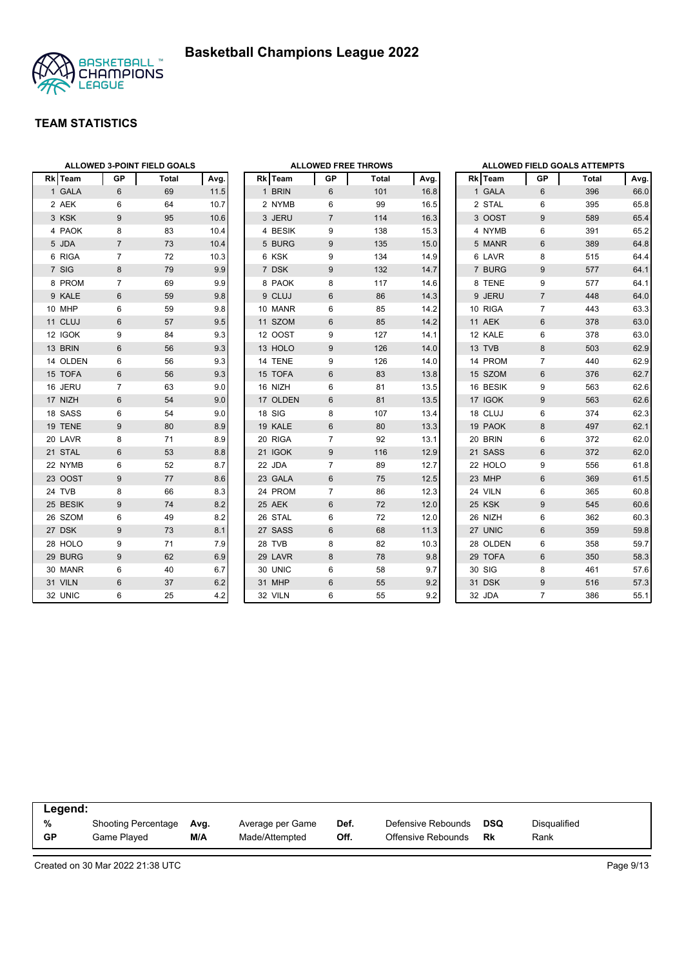

|          |                | ALLOWED 3-POINT FIELD GOALS |      | <b>ALLOWED FREE THROWS</b> |                |       |      |  | <b>ALLOWED FIELD GOALS ATTEMPTS</b> |                |       |      |
|----------|----------------|-----------------------------|------|----------------------------|----------------|-------|------|--|-------------------------------------|----------------|-------|------|
| Rk Team  | GP             | Total                       | Avg. | Rk Team                    | GP             | Total | Avg. |  | Rk Team                             | GP             | Total | Avg  |
| 1 GALA   | 6              | 69                          | 11.5 | 1 BRIN                     | 6              | 101   | 16.8 |  | 1 GALA                              | 6              | 396   | 66.0 |
| 2 AEK    | 6              | 64                          | 10.7 |                            | 2 NYMB<br>6    | 99    | 16.5 |  | 2 STAL                              | 6              | 395   | 65.8 |
| 3 KSK    | 9              | 95                          | 10.6 | 3 JERU                     | $\overline{7}$ | 114   | 16.3 |  | 3 OOST                              | 9              | 589   | 65.4 |
| 4 PAOK   | 8              | 83                          | 10.4 |                            | 4 BESIK<br>9   | 138   | 15.3 |  | 4 NYMB                              | 6              | 391   | 65.2 |
| 5 JDA    | $\overline{7}$ | 73                          | 10.4 |                            | 5 BURG<br>9    | 135   | 15.0 |  | 5 MANR                              | 6              | 389   | 64.8 |
| 6 RIGA   | $\overline{7}$ | 72                          | 10.3 | 6 KSK                      | 9              | 134   | 14.9 |  | 6 LAVR                              | 8              | 515   | 64.4 |
| 7 SIG    | 8              | 79                          | 9.9  | 7 DSK                      | 9              | 132   | 14.7 |  | 7 BURG                              | 9              | 577   | 64.1 |
| 8 PROM   | 7              | 69                          | 9.9  | 8 PAOK                     | 8              | 117   | 14.6 |  | 8 TENE                              | 9              | 577   | 64.1 |
| 9 KALE   | $6\phantom{1}$ | 59                          | 9.8  | 9 CLUJ                     | 6              | 86    | 14.3 |  | 9 JERU                              | $\overline{7}$ | 448   | 64.0 |
| 10 MHP   | 6              | 59                          | 9.8  | 10 MANR                    | 6              | 85    | 14.2 |  | 10 RIGA                             | $\overline{7}$ | 443   | 63.3 |
| 11 CLUJ  | $6\phantom{1}$ | 57                          | 9.5  | 11 SZOM                    | 6              | 85    | 14.2 |  | 11 AEK                              | 6              | 378   | 63.0 |
| 12 IGOK  | 9              | 84                          | 9.3  | 12 OOST                    | 9              | 127   | 14.1 |  | 12 KALE                             | 6              | 378   | 63.0 |
| 13 BRIN  | 6              | 56                          | 9.3  | 13 HOLO                    | 9              | 126   | 14.0 |  | 13 TVB                              | 8              | 503   | 62.9 |
| 14 OLDEN | 6              | 56                          | 9.3  | 14 TENE                    | 9              | 126   | 14.0 |  | 14 PROM                             | $\overline{7}$ | 440   | 62.9 |
| 15 TOFA  | 6              | 56                          | 9.3  | 15 TOFA                    | 6              | 83    | 13.8 |  | 15 SZOM                             | 6              | 376   | 62.7 |
| 16 JERU  | $\overline{7}$ | 63                          | 9.0  | 16 NIZH                    | 6              | 81    | 13.5 |  | 16 BESIK                            | 9              | 563   | 62.6 |
| 17 NIZH  | $6\phantom{1}$ | 54                          | 9.0  |                            | 6<br>17 OLDEN  | 81    | 13.5 |  | 17 IGOK                             | 9              | 563   | 62.6 |
| 18 SASS  | 6              | 54                          | 9.0  | 18 SIG                     | 8              | 107   | 13.4 |  | 18 CLUJ                             | 6              | 374   | 62.3 |
| 19 TENE  | 9              | 80                          | 8.9  | 19 KALE                    | 6              | 80    | 13.3 |  | 19 PAOK                             | 8              | 497   | 62.1 |
| 20 LAVR  | 8              | 71                          | 8.9  | 20 RIGA                    | $\overline{7}$ | 92    | 13.1 |  | 20 BRIN                             | 6              | 372   | 62.0 |
| 21 STAL  | 6              | 53                          | 8.8  | 21 IGOK                    | 9              | 116   | 12.9 |  | 21 SASS                             | 6              | 372   | 62.0 |
| 22 NYMB  | 6              | 52                          | 8.7  | 22 JDA                     | 7              | 89    | 12.7 |  | 22 HOLO                             | 9              | 556   | 61.8 |
| 23 OOST  | 9              | 77                          | 8.6  | 23 GALA                    | 6              | 75    | 12.5 |  | 23 MHP                              | 6              | 369   | 61.5 |
| 24 TVB   | 8              | 66                          | 8.3  | 24 PROM                    | $\overline{7}$ | 86    | 12.3 |  | 24 VILN                             | 6              | 365   | 60.8 |
| 25 BESIK | 9              | 74                          | 8.2  | 25 AEK                     | 6              | 72    | 12.0 |  | 25 KSK                              | 9              | 545   | 60.6 |
| 26 SZOM  | 6              | 49                          | 8.2  | 26 STAL                    | 6              | 72    | 12.0 |  | 26 NIZH                             | 6              | 362   | 60.3 |
| 27 DSK   | 9              | 73                          | 8.1  | 27 SASS                    | 6              | 68    | 11.3 |  | 27 UNIC                             | 6              | 359   | 59.8 |
| 28 HOLO  | 9              | 71                          | 7.9  | 28 TVB                     | 8              | 82    | 10.3 |  | 28 OLDEN                            | 6              | 358   | 59.7 |
| 29 BURG  | 9              | 62                          | 6.9  | 29 LAVR                    | 8              | 78    | 9.8  |  | 29 TOFA                             | 6              | 350   | 58.3 |
| 30 MANR  | 6              | 40                          | 6.7  | 30 UNIC                    | 6              | 58    | 9.7  |  | 30 SIG                              | 8              | 461   | 57.6 |
| 31 VILN  | 6              | 37                          | 6.2  | 31 MHP                     | 6              | 55    | 9.2  |  | 31 DSK                              | 9              | 516   | 57.3 |
| 32 UNIC  | 6              | 25                          | 4.2  | 32 VILN                    | 6              | 55    | 9.2  |  | 32 JDA                              | $\overline{7}$ | 386   | 55.1 |

|           | Legend:             |      |                  |      |                    |     |              |  |  |  |  |
|-----------|---------------------|------|------------------|------|--------------------|-----|--------------|--|--|--|--|
| %         | Shooting Percentage | Ava. | Average per Game | Def. | Defensive Rebounds | DSQ | Disgualified |  |  |  |  |
| <b>GP</b> | Game Plaved         | M/A  | Made/Attempted   | Off. | Offensive Rebounds | Rk  | Rank         |  |  |  |  |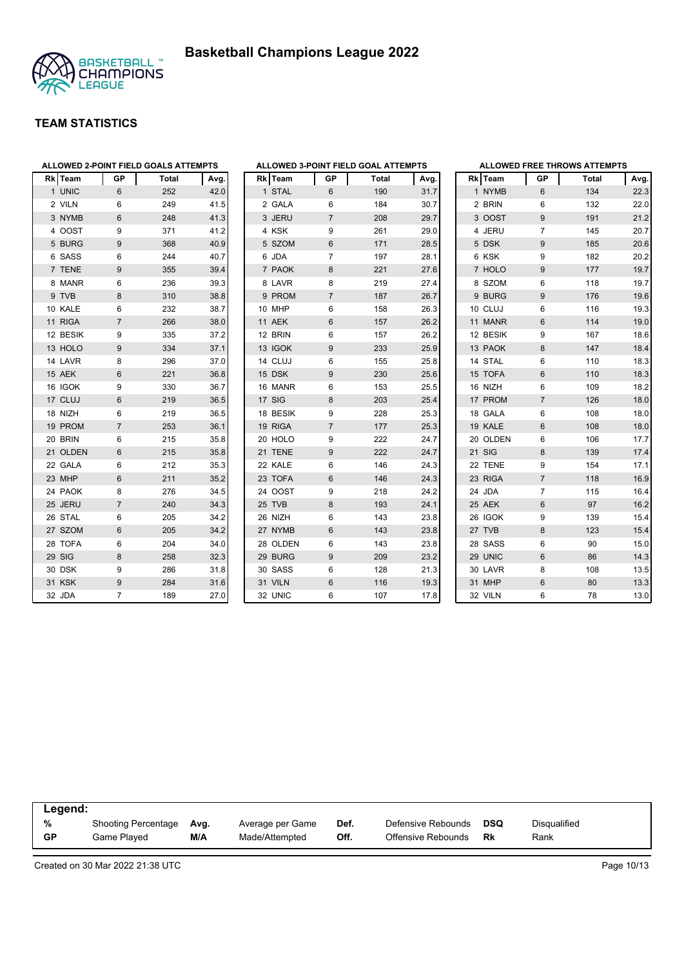



|    | Rk Team     | GP             | Total | Avg. |
|----|-------------|----------------|-------|------|
|    | 1 UNIC      | 6              | 252   | 42.0 |
|    | 2 VILN      | 6              | 249   | 41.5 |
|    | 3 NYMB      | 6              | 248   | 41.3 |
|    | 4 OOST      | 9              | 371   | 41.2 |
|    | 5 BURG      | 9              | 368   | 40.9 |
|    | 6 SASS      | 6              | 244   | 40.7 |
|    | 7 TENE      | 9              | 355   | 39.4 |
|    | 8 MANR      | 6              | 236   | 39.3 |
|    | 9 TVB       | 8              | 310   | 38.8 |
|    | 10 KALE     | 6              | 232   | 38.7 |
|    | 11 RIGA     | $\overline{7}$ | 266   | 38.0 |
|    | 12 BESIK    | 9              | 335   | 37.2 |
|    | 13 HOLO     | 9              | 334   | 37.1 |
|    | 14 LAVR     | 8              | 296   | 37.0 |
|    | 15 AEK      | 6              | 221   | 36.8 |
|    | 16 IGOK     | 9              | 330   | 36.7 |
|    | 17 CLUJ     | 6              | 219   | 36.5 |
|    | 18 NIZH     | 6              | 219   | 36.5 |
|    | 19 PROM     | $\overline{7}$ | 253   | 36.1 |
|    | 20 BRIN     | 6              | 215   | 35.8 |
|    | 21 OLDEN    | 6              | 215   | 35.8 |
|    | 22 GALA     | 6              | 212   | 35.3 |
|    | 23 MHP      | 6              | 211   | 35.2 |
|    | 24 PAOK     | 8              | 276   | 34.5 |
| 25 | <b>JERU</b> | $\overline{7}$ | 240   | 34.3 |
|    | 26 STAL     | 6              | 205   | 34.2 |
|    | 27 SZOM     | 6              | 205   | 34.2 |
|    | 28 TOFA     | 6              | 204   | 34.0 |
|    | 29 SIG      | 8              | 258   | 32.3 |
|    | 30 DSK      | 9              | 286   | 31.8 |
|    | 31 KSK      | 9              | 284   | 31.6 |
|    | 32 JDA      | 7              | 189   | 27.0 |

|              |             |                | ALLOWED 3-POINT FIELD GOAL ATTEMPTS |      |
|--------------|-------------|----------------|-------------------------------------|------|
| Rk           | Team        | <b>GP</b>      | Total                               | Avg. |
| $\mathbf{1}$ | <b>STAL</b> | 6              | 190                                 | 31.7 |
|              | 2 GALA      | 6              | 184                                 | 30.7 |
|              | 3 JERU      | $\overline{7}$ | 208                                 | 29.7 |
|              | 4 KSK       | 9              | 261                                 | 29.0 |
|              | 5 SZOM      | 6              | 171                                 | 28.5 |
|              | 6 JDA       | 7              | 197                                 | 28.1 |
|              | 7 PAOK      | 8              | 221                                 | 27.6 |
|              | 8 LAVR      | 8              | 219                                 | 27.4 |
|              | 9 PROM      | $\overline{7}$ | 187                                 | 26.7 |
|              | 10 MHP      | 6              | 158                                 | 26.3 |
| 11           | <b>AEK</b>  | 6              | 157                                 | 26.2 |
|              | 12 BRIN     | 6              | 157                                 | 26.2 |
|              | 13 IGOK     | 9              | 233                                 | 25.9 |
|              | 14 CLUJ     | 6              | 155                                 | 25.8 |
|              | 15 DSK      | 9              | 230                                 | 25.6 |
|              | 16 MANR     | 6              | 153                                 | 25.5 |
|              | 17 SIG      | 8              | 203                                 | 25.4 |
|              | 18 BESIK    | 9              | 228                                 | 25.3 |
|              | 19 RIGA     | $\overline{7}$ | 177                                 | 25.3 |
|              | 20 HOLO     | 9              | 222                                 | 24.7 |
| 21           | <b>TENE</b> | 9              | 222                                 | 24.7 |
| 22           | KALE        | 6              | 146                                 | 24.3 |
| 23           | <b>TOFA</b> | 6              | 146                                 | 24.3 |
|              | 24 OOST     | 9              | 218                                 | 24.2 |
|              | 25 TVB      | 8              | 193                                 | 24.1 |
| 26           | <b>NIZH</b> | 6              | 143                                 | 23.8 |
| 27           | <b>NYMB</b> | 6              | 143                                 | 23.8 |
|              | 28 OLDEN    | 6              | 143                                 | 23.8 |
|              | 29 BURG     | 9              | 209                                 | 23.2 |
|              | 30 SASS     | 6              | 128                                 | 21.3 |
|              | 31 VILN     | 6              | 116                                 | 19.3 |
| 32           | <b>UNIC</b> | 6              | 107                                 | 17.8 |

|   |            |                | <b>ALLOWED FREE THROWS ATTEMPTS</b> |      |
|---|------------|----------------|-------------------------------------|------|
|   | Rk Team    | <b>GP</b>      | <b>Total</b>                        | Avg. |
|   | 1 NYMB     | 6              | 134                                 | 22.3 |
|   | 2 BRIN     | 6              | 132                                 | 22.0 |
|   | 3 OOST     | 9              | 191                                 | 21.2 |
|   | 4 JERU     | 7              | 145                                 | 20.7 |
| 5 | <b>DSK</b> | 9              | 185                                 | 20.6 |
|   | 6 KSK      | 9              | 182                                 | 20.2 |
|   | 7 HOLO     | 9              | 177                                 | 19.7 |
| 8 | SZOM       | 6              | 118                                 | 19.7 |
|   | 9 BURG     | 9              | 176                                 | 19.6 |
|   | 10 CLUJ    | 6              | 116                                 | 19.3 |
|   | 11 MANR    | 6              | 114                                 | 19.0 |
|   | 12 BESIK   | 9              | 167                                 | 18.6 |
|   | 13 PAOK    | 8              | 147                                 | 18.4 |
|   | 14 STAL    | 6              | 110                                 | 18.3 |
|   | 15 TOFA    | 6              | 110                                 | 18.3 |
|   | 16 NIZH    | 6              | 109                                 | 18.2 |
|   | 17 PROM    | 7              | 126                                 | 18.0 |
|   | 18 GALA    | 6              | 108                                 | 18.0 |
|   | 19 KALE    | 6              | 108                                 | 18.0 |
|   | 20 OLDEN   | 6              | 106                                 | 17.7 |
|   | 21 SIG     | 8              | 139                                 | 17.4 |
|   | 22 TENE    | 9              | 154                                 | 17.1 |
|   | 23 RIGA    | $\overline{7}$ | 118                                 | 16.9 |
|   | 24 JDA     | 7              | 115                                 | 16.4 |
|   | 25 AEK     | 6              | 97                                  | 16.2 |
|   | 26 IGOK    | 9              | 139                                 | 15.4 |
|   | 27 TVB     | 8              | 123                                 | 15.4 |
|   | 28 SASS    | 6              | 90                                  | 15.0 |
|   | 29 UNIC    | 6              | 86                                  | 14.3 |
|   | 30 LAVR    | 8              | 108                                 | 13.5 |
|   | 31 MHP     | 6              | 80                                  | 13.3 |
|   | 32 VILN    | 6              | 78                                  | 13.0 |

|           | Legend:             |      |                  |      |                    |            |              |  |  |  |  |
|-----------|---------------------|------|------------------|------|--------------------|------------|--------------|--|--|--|--|
| %         | Shooting Percentage | Ava. | Average per Game | Def. | Defensive Rebounds | <b>DSQ</b> | Disqualified |  |  |  |  |
| <b>GP</b> | Game Plaved         | M/A  | Made/Attempted   | Off. | Offensive Rebounds | Rk         | Rank         |  |  |  |  |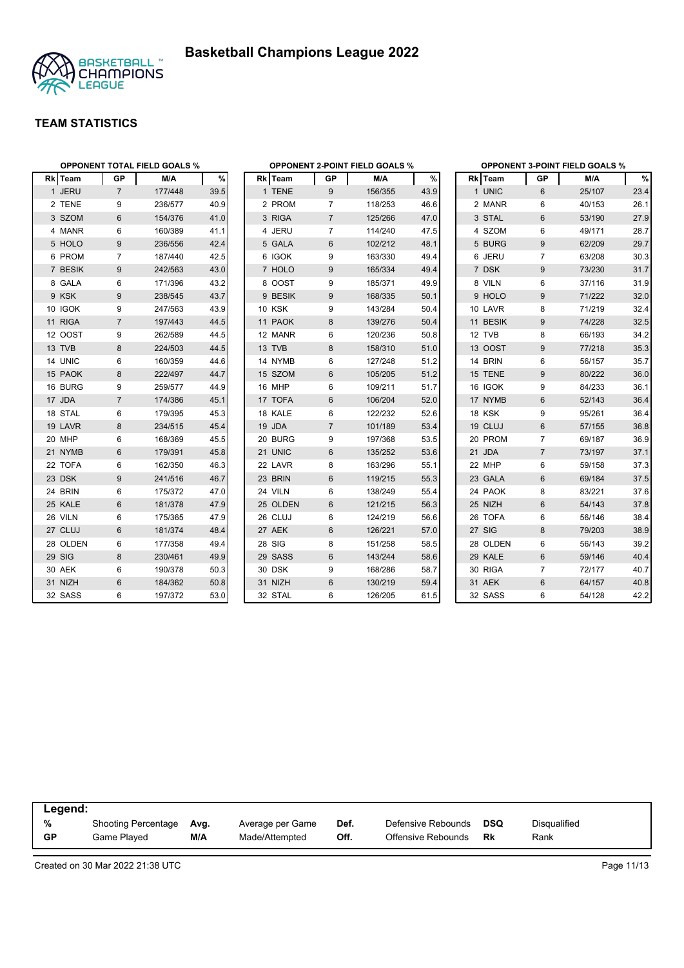

|          |                | <b>OPPONENT TOTAL FIELD GOALS %</b> |      |          |                 | <b>OPPONENT 2-POINT FIELD GOALS %</b> |      |          | <b>OPPONENT 3-POINT FIELD GOALS %</b> |        |      |  |
|----------|----------------|-------------------------------------|------|----------|-----------------|---------------------------------------|------|----------|---------------------------------------|--------|------|--|
| Rk Team  | GP             | M/A                                 | %    | Rk Team  | GP              | M/A                                   | $\%$ | Rk Team  | <b>GP</b>                             | M/A    | %    |  |
| 1 JERU   | $\overline{7}$ | 177/448                             | 39.5 | 1 TENE   | 9               | 156/355                               | 43.9 | 1 UNIC   | 6                                     | 25/107 | 23.4 |  |
| 2 TENE   | 9              | 236/577                             | 40.9 | 2 PROM   | $\overline{7}$  | 118/253                               | 46.6 | 2 MANR   | 6                                     | 40/153 | 26.1 |  |
| 3 SZOM   | 6              | 154/376                             | 41.0 | 3 RIGA   | $7\overline{ }$ | 125/266                               | 47.0 | 3 STAL   | 6                                     | 53/190 | 27.9 |  |
| 4 MANR   | 6              | 160/389                             | 41.1 | 4 JERU   | $\overline{7}$  | 114/240                               | 47.5 | 4 SZOM   | 6                                     | 49/171 | 28.7 |  |
| 5 HOLO   | 9              | 236/556                             | 42.4 | 5 GALA   | 6               | 102/212                               | 48.1 | 5 BURG   | 9                                     | 62/209 | 29.7 |  |
| 6 PROM   | $\overline{7}$ | 187/440                             | 42.5 | 6 IGOK   | 9               | 163/330                               | 49.4 | 6 JERU   | $\overline{7}$                        | 63/208 | 30.3 |  |
| 7 BESIK  | 9              | 242/563                             | 43.0 | 7 HOLO   | 9               | 165/334                               | 49.4 | 7 DSK    | 9                                     | 73/230 | 31.7 |  |
| 8 GALA   | 6              | 171/396                             | 43.2 | 8 OOST   | 9               | 185/371                               | 49.9 | 8 VILN   | 6                                     | 37/116 | 31.9 |  |
| 9 KSK    | 9              | 238/545                             | 43.7 | 9 BESIK  | 9               | 168/335                               | 50.1 | 9 HOLO   | 9                                     | 71/222 | 32.0 |  |
| 10 IGOK  | 9              | 247/563                             | 43.9 | 10 KSK   | 9               | 143/284                               | 50.4 | 10 LAVR  | 8                                     | 71/219 | 32.4 |  |
| 11 RIGA  | $\overline{7}$ | 197/443                             | 44.5 | 11 PAOK  | 8               | 139/276                               | 50.4 | 11 BESIK | 9                                     | 74/228 | 32.5 |  |
| 12 OOST  | 9              | 262/589                             | 44.5 | 12 MANR  | 6               | 120/236                               | 50.8 | 12 TVB   | 8                                     | 66/193 | 34.2 |  |
| 13 TVB   | 8              | 224/503                             | 44.5 | 13 TVB   | 8               | 158/310                               | 51.0 | 13 OOST  | 9                                     | 77/218 | 35.3 |  |
| 14 UNIC  | 6              | 160/359                             | 44.6 | 14 NYMB  | 6               | 127/248                               | 51.2 | 14 BRIN  | 6                                     | 56/157 | 35.7 |  |
| 15 PAOK  | 8              | 222/497                             | 44.7 | 15 SZOM  | 6               | 105/205                               | 51.2 | 15 TENE  | 9                                     | 80/222 | 36.0 |  |
| 16 BURG  | 9              | 259/577                             | 44.9 | 16 MHP   | 6               | 109/211                               | 51.7 | 16 IGOK  | $9\,$                                 | 84/233 | 36.1 |  |
| 17 JDA   | $\overline{7}$ | 174/386                             | 45.1 | 17 TOFA  | 6               | 106/204                               | 52.0 | 17 NYMB  | 6                                     | 52/143 | 36.4 |  |
| 18 STAL  | 6              | 179/395                             | 45.3 | 18 KALE  | 6               | 122/232                               | 52.6 | 18 KSK   | 9                                     | 95/261 | 36.4 |  |
| 19 LAVR  | 8              | 234/515                             | 45.4 | 19 JDA   | $\overline{7}$  | 101/189                               | 53.4 | 19 CLUJ  | 6                                     | 57/155 | 36.8 |  |
| 20 MHP   | 6              | 168/369                             | 45.5 | 20 BURG  | 9               | 197/368                               | 53.5 | 20 PROM  | $\overline{7}$                        | 69/187 | 36.9 |  |
| 21 NYMB  | 6              | 179/391                             | 45.8 | 21 UNIC  | 6               | 135/252                               | 53.6 | 21 JDA   | $\overline{7}$                        | 73/197 | 37.1 |  |
| 22 TOFA  | 6              | 162/350                             | 46.3 | 22 LAVR  | 8               | 163/296                               | 55.1 | 22 MHP   | 6                                     | 59/158 | 37.3 |  |
| 23 DSK   | 9              | 241/516                             | 46.7 | 23 BRIN  | 6               | 119/215                               | 55.3 | 23 GALA  | 6                                     | 69/184 | 37.5 |  |
| 24 BRIN  | 6              | 175/372                             | 47.0 | 24 VILN  | 6               | 138/249                               | 55.4 | 24 PAOK  | 8                                     | 83/221 | 37.6 |  |
| 25 KALE  | 6              | 181/378                             | 47.9 | 25 OLDEN | 6               | 121/215                               | 56.3 | 25 NIZH  | 6                                     | 54/143 | 37.8 |  |
| 26 VILN  | 6              | 175/365                             | 47.9 | 26 CLUJ  | 6               | 124/219                               | 56.6 | 26 TOFA  | 6                                     | 56/146 | 38.4 |  |
| 27 CLUJ  | 6              | 181/374                             | 48.4 | 27 AEK   | 6               | 126/221                               | 57.0 | 27 SIG   | 8                                     | 79/203 | 38.9 |  |
| 28 OLDEN | 6              | 177/358                             | 49.4 | 28 SIG   | 8               | 151/258                               | 58.5 | 28 OLDEN | 6                                     | 56/143 | 39.2 |  |
| 29 SIG   | 8              | 230/461                             | 49.9 | 29 SASS  | 6               | 143/244                               | 58.6 | 29 KALE  | 6                                     | 59/146 | 40.4 |  |
| 30 AEK   | 6              | 190/378                             | 50.3 | 30 DSK   | 9               | 168/286                               | 58.7 | 30 RIGA  | $\overline{7}$                        | 72/177 | 40.7 |  |
| 31 NIZH  | $6\phantom{1}$ | 184/362                             | 50.8 | 31 NIZH  | $6\,$           | 130/219                               | 59.4 | 31 AEK   | $6\phantom{1}$                        | 64/157 | 40.8 |  |
| 32 SASS  | 6              | 197/372                             | 53.0 | 32 STAL  | 6               | 126/205                               | 61.5 | 32 SASS  | 6                                     | 54/128 | 42.2 |  |

|    | Legend:             |      |                  |      |                    |            |              |  |  |  |  |
|----|---------------------|------|------------------|------|--------------------|------------|--------------|--|--|--|--|
| %  | Shooting Percentage | Avg. | Average per Game | Def. | Defensive Rebounds | <b>DSQ</b> | Disqualified |  |  |  |  |
| GP | Game Played         | M/A  | Made/Attempted   | Off. | Offensive Rebounds | Rk         | Rank         |  |  |  |  |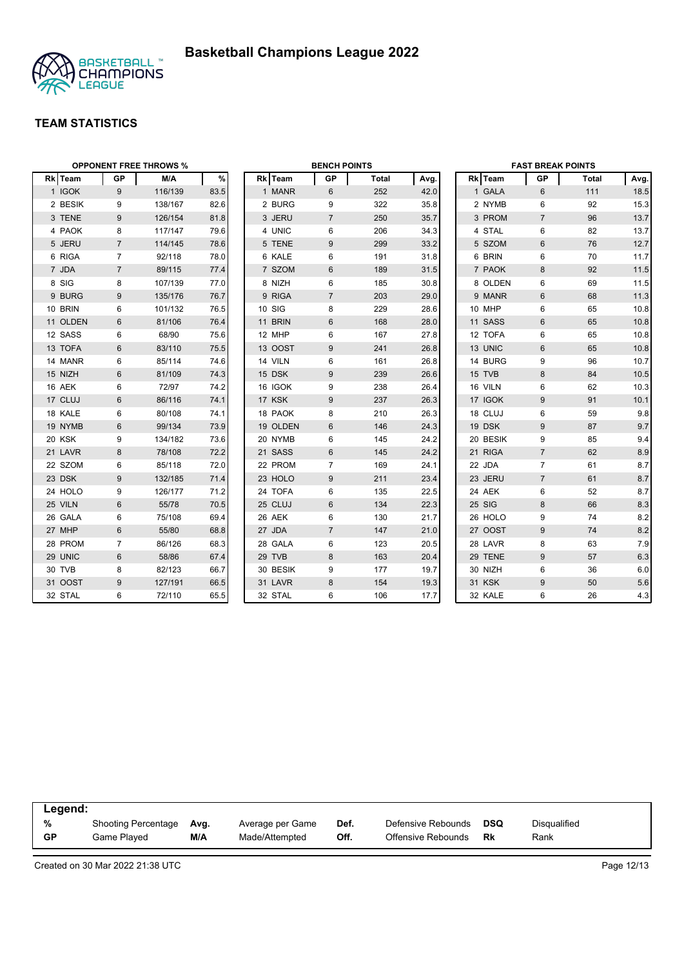



| <b>OPPONENT FREE THROWS %</b> |                  |         |      |  | <b>BENCH POINTS</b> |                |              |      | <b>FAST BREAK POINTS</b> |          |                |              |      |
|-------------------------------|------------------|---------|------|--|---------------------|----------------|--------------|------|--------------------------|----------|----------------|--------------|------|
| Rk Team                       | <b>GP</b>        | M/A     | $\%$ |  | Rk Team             | GP             | <b>Total</b> | Avg. |                          | Rk Team  | <b>GP</b>      | <b>Total</b> | Avg. |
| 1 IGOK                        | 9                | 116/139 | 83.5 |  | 1 MANR              | 6              | 252          | 42.0 |                          | 1 GALA   | 6              | 111          | 18.5 |
| 2 BESIK                       | 9                | 138/167 | 82.6 |  | 2 BURG              | 9              | 322          | 35.8 |                          | 2 NYMB   | 6              | 92           | 15.3 |
| 3 TENE                        | 9                | 126/154 | 81.8 |  | 3 JERU              | $\overline{7}$ | 250          | 35.7 |                          | 3 PROM   | $\overline{7}$ | 96           | 13.7 |
| 4 PAOK                        | 8                | 117/147 | 79.6 |  | 4 UNIC              | 6              | 206          | 34.3 |                          | 4 STAL   | 6              | 82           | 13.7 |
| 5 JERU                        | $\overline{7}$   | 114/145 | 78.6 |  | 5 TENE              | 9              | 299          | 33.2 |                          | 5 SZOM   | $\,6$          | 76           | 12.7 |
| 6 RIGA                        | $\overline{7}$   | 92/118  | 78.0 |  | 6 KALE              | 6              | 191          | 31.8 |                          | 6 BRIN   | 6              | 70           | 11.7 |
| 7 JDA                         | $\overline{7}$   | 89/115  | 77.4 |  | 7 SZOM              | 6              | 189          | 31.5 |                          | 7 PAOK   | 8              | 92           | 11.5 |
| 8 SIG                         | 8                | 107/139 | 77.0 |  | 8 NIZH              | 6              | 185          | 30.8 |                          | 8 OLDEN  | 6              | 69           | 11.5 |
| 9 BURG                        | 9                | 135/176 | 76.7 |  | 9 RIGA              | $\overline{7}$ | 203          | 29.0 |                          | 9 MANR   | 6              | 68           | 11.3 |
| 10 BRIN                       | 6                | 101/132 | 76.5 |  | 10 SIG              | 8              | 229          | 28.6 |                          | 10 MHP   | 6              | 65           | 10.8 |
| 11 OLDEN                      | 6                | 81/106  | 76.4 |  | 11 BRIN             | 6              | 168          | 28.0 |                          | 11 SASS  | $6\phantom{1}$ | 65           | 10.8 |
| 12 SASS                       | 6                | 68/90   | 75.6 |  | 12 MHP              | 6              | 167          | 27.8 |                          | 12 TOFA  | 6              | 65           | 10.8 |
| 13 TOFA                       | 6                | 83/110  | 75.5 |  | 13 OOST             | 9              | 241          | 26.8 |                          | 13 UNIC  | $6\phantom{1}$ | 65           | 10.8 |
| 14 MANR                       | 6                | 85/114  | 74.6 |  | 14 VILN             | 6              | 161          | 26.8 |                          | 14 BURG  | 9              | 96           | 10.7 |
| 15 NIZH                       | $6\phantom{1}$   | 81/109  | 74.3 |  | 15 DSK              | 9              | 239          | 26.6 |                          | 15 TVB   | $\bf 8$        | 84           | 10.5 |
| 16 AEK                        | 6                | 72/97   | 74.2 |  | 16 IGOK             | 9              | 238          | 26.4 |                          | 16 VILN  | 6              | 62           | 10.3 |
| 17 CLUJ                       | $6\phantom{1}$   | 86/116  | 74.1 |  | 17 KSK              | 9              | 237          | 26.3 |                          | 17 IGOK  | 9              | 91           | 10.1 |
| 18 KALE                       | 6                | 80/108  | 74.1 |  | 18 PAOK             | 8              | 210          | 26.3 |                          | 18 CLUJ  | 6              | 59           | 9.8  |
| 19 NYMB                       | 6                | 99/134  | 73.9 |  | 19 OLDEN            | 6              | 146          | 24.3 |                          | 19 DSK   | 9              | 87           | 9.7  |
| 20 KSK                        | 9                | 134/182 | 73.6 |  | 20 NYMB             | 6              | 145          | 24.2 |                          | 20 BESIK | 9              | 85           | 9.4  |
| 21 LAVR                       | 8                | 78/108  | 72.2 |  | 21 SASS             | 6              | 145          | 24.2 |                          | 21 RIGA  | $\overline{7}$ | 62           | 8.9  |
| 22 SZOM                       | 6                | 85/118  | 72.0 |  | 22 PROM             | $\overline{7}$ | 169          | 24.1 |                          | 22 JDA   | $\overline{7}$ | 61           | 8.7  |
| 23 DSK                        | $\boldsymbol{9}$ | 132/185 | 71.4 |  | 23 HOLO             | 9              | 211          | 23.4 |                          | 23 JERU  | $\overline{7}$ | 61           | 8.7  |
| 24 HOLO                       | 9                | 126/177 | 71.2 |  | 24 TOFA             | 6              | 135          | 22.5 |                          | 24 AEK   | 6              | 52           | 8.7  |
| 25 VILN                       | $6\phantom{1}$   | 55/78   | 70.5 |  | 25 CLUJ             | 6              | 134          | 22.3 |                          | 25 SIG   | 8              | 66           | 8.3  |
| 26 GALA                       | 6                | 75/108  | 69.4 |  | 26 AEK              | 6              | 130          | 21.7 |                          | 26 HOLO  | 9              | 74           | 8.2  |
| 27 MHP                        | $6\,$            | 55/80   | 68.8 |  | 27 JDA              | $\overline{7}$ | 147          | 21.0 |                          | 27 OOST  | $9\,$          | 74           | 8.2  |
| 28 PROM                       | $\overline{7}$   | 86/126  | 68.3 |  | 28 GALA             | 6              | 123          | 20.5 |                          | 28 LAVR  | 8              | 63           | 7.9  |
| 29 UNIC                       | 6                | 58/86   | 67.4 |  | 29 TVB              | 8              | 163          | 20.4 |                          | 29 TENE  | 9              | 57           | 6.3  |
| 30 TVB                        | 8                | 82/123  | 66.7 |  | 30 BESIK            | 9              | 177          | 19.7 |                          | 30 NIZH  | 6              | 36           | 6.0  |
| 31 OOST                       | 9                | 127/191 | 66.5 |  | 31 LAVR             | 8              | 154          | 19.3 |                          | 31 KSK   | 9              | 50           | 5.6  |
| 32 STAL                       | 6                | 72/110  | 65.5 |  | 32 STAL             | 6              | 106          | 17.7 |                          | 32 KALE  | 6              | 26           | 4.3  |

| Legend:   |                            |      |                  |      |                    |     |              |  |  |
|-----------|----------------------------|------|------------------|------|--------------------|-----|--------------|--|--|
| %         | <b>Shooting Percentage</b> | Avg. | Average per Game | Def. | Defensive Rebounds | DSQ | Disqualified |  |  |
| <b>GP</b> | Game Played                | M/A  | Made/Attempted   | Off. | Offensive Rebounds | Rk  | Rank         |  |  |